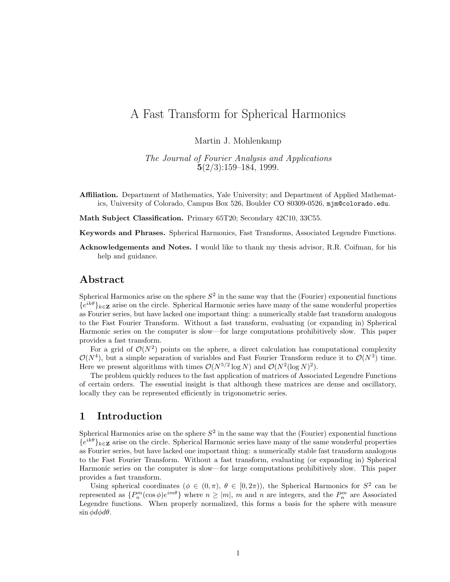# A Fast Transform for Spherical Harmonics

Martin J. Mohlenkamp

The Journal of Fourier Analysis and Applications 5(2/3):159–184, 1999.

- Affiliation. Department of Mathematics, Yale University; and Department of Applied Mathematics, University of Colorado, Campus Box 526, Boulder CO 80309-0526, mjm@colorado.edu.
- Math Subject Classification. Primary 65T20; Secondary 42C10, 33C55.

Keywords and Phrases. Spherical Harmonics, Fast Transforms, Associated Legendre Functions.

Acknowledgements and Notes. I would like to thank my thesis advisor, R.R. Coifman, for his help and guidance.

# Abstract

Spherical Harmonics arise on the sphere  $S^2$  in the same way that the (Fourier) exponential functions  ${e^{ik\theta}}_{k\in\mathbf{Z}}$  arise on the circle. Spherical Harmonic series have many of the same wonderful properties as Fourier series, but have lacked one important thing: a numerically stable fast transform analogous to the Fast Fourier Transform. Without a fast transform, evaluating (or expanding in) Spherical Harmonic series on the computer is slow—for large computations prohibitively slow. This paper provides a fast transform.

For a grid of  $\mathcal{O}(N^2)$  points on the sphere, a direct calculation has computational complexity  $\mathcal{O}(N^4)$ , but a simple separation of variables and Fast Fourier Transform reduce it to  $\mathcal{O}(N^3)$  time. Here we present algorithms with times  $\mathcal{O}(N^{5/2} \log N)$  and  $\mathcal{O}(N^2 (\log N)^2)$ .

The problem quickly reduces to the fast application of matrices of Associated Legendre Functions of certain orders. The essential insight is that although these matrices are dense and oscillatory, locally they can be represented efficiently in trigonometric series.

# 1 Introduction

Spherical Harmonics arise on the sphere  $S^2$  in the same way that the (Fourier) exponential functions  ${e^{ik\theta}}_{k\in\mathbf{Z}}$  arise on the circle. Spherical Harmonic series have many of the same wonderful properties as Fourier series, but have lacked one important thing: a numerically stable fast transform analogous to the Fast Fourier Transform. Without a fast transform, evaluating (or expanding in) Spherical Harmonic series on the computer is slow—for large computations prohibitively slow. This paper provides a fast transform.

Using spherical coordinates  $(\phi \in (0, \pi), \theta \in [0, 2\pi))$ , the Spherical Harmonics for  $S^2$  can be represented as  $\{P_n^m(\cos\phi)e^{im\theta}\}\$  where  $n \geq |m|$ , m and n are integers, and the  $P_n^m$  are Associated Legendre functions. When properly normalized, this forms a basis for the sphere with measure  $\sin \phi d\phi d\theta$ .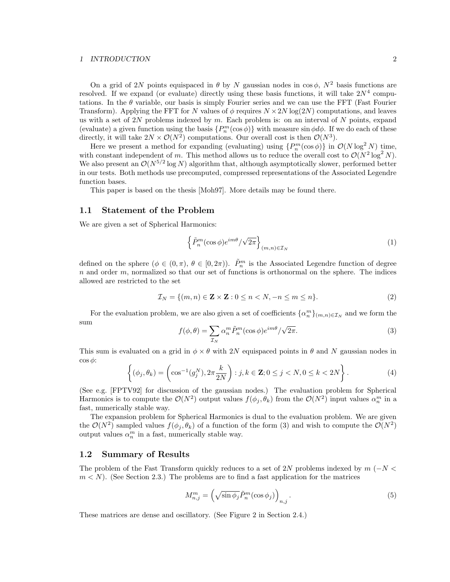#### 1 INTRODUCTION 2

On a grid of 2N points equispaced in  $\theta$  by N gaussian nodes in cos  $\phi$ ,  $N^2$  basis functions are resolved. If we expand (or evaluate) directly using these basis functions, it will take  $2N^4$  computations. In the  $\theta$  variable, our basis is simply Fourier series and we can use the FFT (Fast Fourier Transform). Applying the FFT for N values of  $\phi$  requires  $N \times 2N \log(2N)$  computations, and leaves us with a set of  $2N$  problems indexed by m. Each problem is: on an interval of N points, expand (evaluate) a given function using the basis  $\{P_n^m(\cos\phi)\}\$  with measure  $\sin\phi d\phi$ . If we do each of these directly, it will take  $2N \times \mathcal{O}(N^2)$  computations. Our overall cost is then  $\mathcal{O}(N^3)$ .

Here we present a method for expanding (evaluating) using  $\{P_n^m(\cos\phi)\}\$ in  $\mathcal{O}(N\log^2 N)$  time, with constant independent of m. This method allows us to reduce the overall cost to  $\mathcal{O}(N^2 \log^2 N)$ . We also present an  $\mathcal{O}(N^{5/2} \log N)$  algorithm that, although asymptotically slower, performed better in our tests. Both methods use precomputed, compressed representations of the Associated Legendre function bases.

This paper is based on the thesis [Moh97]. More details may be found there.

## 1.1 Statement of the Problem

We are given a set of Spherical Harmonics:

$$
\left\{ \tilde{P}_n^m(\cos \phi)e^{im\theta}/\sqrt{2\pi} \right\}_{(m,n)\in \mathcal{I}_N} \tag{1}
$$

defined on the sphere  $(\phi \in (0, \pi), \theta \in [0, 2\pi))$ .  $\tilde{P}_n^m$  is the Associated Legendre function of degree  $n$  and order  $m$ , normalized so that our set of functions is orthonormal on the sphere. The indices allowed are restricted to the set

$$
\mathcal{I}_N = \{(m, n) \in \mathbf{Z} \times \mathbf{Z} : 0 \le n < N, -n \le m \le n\}.\tag{2}
$$

For the evaluation problem, we are also given a set of coefficients  $\{\alpha_n^m\}_{(m,n)\in\mathcal{I}_N}$  and we form the sum

$$
f(\phi,\theta) = \sum_{\mathcal{I}_N} \alpha_n^m \tilde{P}_n^m(\cos\phi) e^{im\theta} / \sqrt{2\pi}.
$$
 (3)

This sum is evaluated on a grid in  $\phi \times \theta$  with 2N equispaced points in  $\theta$  and N gaussian nodes in  $\cos \phi$ :

$$
\left\{ (\phi_j, \theta_k) = \left( \cos^{-1}(g_j^N), 2\pi \frac{k}{2N} \right) : j, k \in \mathbf{Z}; 0 \le j < N, 0 \le k < 2N \right\}.
$$
\n(4)

(See e.g. [FPTV92] for discussion of the gaussian nodes.) The evaluation problem for Spherical Harmonics is to compute the  $\mathcal{O}(N^2)$  output values  $f(\phi_j, \theta_k)$  from the  $\mathcal{O}(N^2)$  input values  $\alpha_n^m$  in a fast, numerically stable way.

The expansion problem for Spherical Harmonics is dual to the evaluation problem. We are given the  $\mathcal{O}(N^2)$  sampled values  $f(\phi_j, \theta_k)$  of a function of the form (3) and wish to compute the  $\mathcal{O}(N^2)$ output values  $\alpha_n^m$  in a fast, numerically stable way.

## 1.2 Summary of Results

The problem of the Fast Transform quickly reduces to a set of 2N problems indexed by  $m$  ( $-N$ )  $m < N$ ). (See Section 2.3.) The problems are to find a fast application for the matrices

$$
M_{n,j}^m = \left(\sqrt{\sin\phi_j}\tilde{P}_n^m(\cos\phi_j)\right)_{n,j}.\tag{5}
$$

These matrices are dense and oscillatory. (See Figure 2 in Section 2.4.)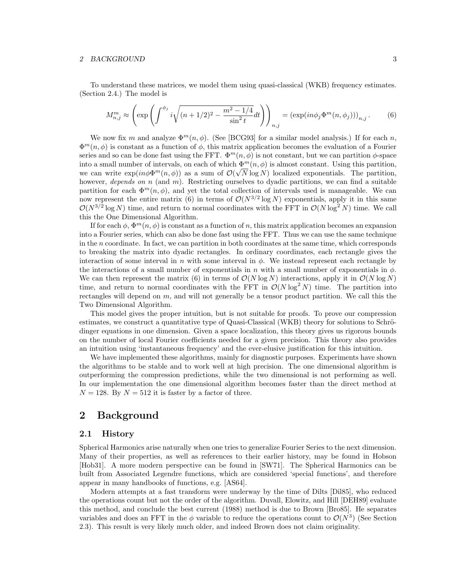#### 2 BACKGROUND 3

To understand these matrices, we model them using quasi-classical (WKB) frequency estimates. (Section 2.4.) The model is

$$
M_{n,j}^m \approx \left(\exp\left(\int^{\phi_j} i\sqrt{(n+1/2)^2 - \frac{m^2 - 1/4}{\sin^2 t}} dt\right)\right)_{n,j} = \left(\exp(in\phi_j \Phi^m(n,\phi_j))\right)_{n,j}.
$$
 (6)

We now fix m and analyze  $\Phi^m(n, \phi)$ . (See [BCG93] for a similar model analysis.) If for each n,  $\Phi^{m}(n,\phi)$  is constant as a function of  $\phi$ , this matrix application becomes the evaluation of a Fourier series and so can be done fast using the FFT.  $\Phi^{m}(n,\phi)$  is not constant, but we can partition  $\phi$ -space into a small number of intervals, on each of which  $\Phi^m(n, \phi)$  is almost constant. Using this partition, we can write  $exp(in\phi\Phi^m(n,\phi))$  as a sum of  $\mathcal{O}(\sqrt{N}\log N)$  localized exponentials. The partition, however, depends on  $n$  (and  $m$ ). Restricting ourselves to dyadic partitions, we can find a suitable partition for each  $\Phi^m(n, \phi)$ , and yet the total collection of intervals used is manageable. We can now represent the entire matrix (6) in terms of  $\mathcal{O}(N^{3/2} \log N)$  exponentials, apply it in this same  $\mathcal{O}(N^{3/2} \log N)$  time, and return to normal coordinates with the FFT in  $\mathcal{O}(N \log^2 N)$  time. We call this the One Dimensional Algorithm.

If for each  $\phi$ ,  $\Phi^m(n, \phi)$  is constant as a function of n, this matrix application becomes an expansion into a Fourier series, which can also be done fast using the FFT. Thus we can use the same technique in the n coordinate. In fact, we can partition in both coordinates at the same time, which corresponds to breaking the matrix into dyadic rectangles. In ordinary coordinates, each rectangle gives the interaction of some interval in n with some interval in  $\phi$ . We instead represent each rectangle by the interactions of a small number of exponentials in n with a small number of exponentials in  $\phi$ . We can then represent the matrix (6) in terms of  $\mathcal{O}(N \log N)$  interactions, apply it in  $\mathcal{O}(N \log N)$ time, and return to normal coordinates with the FFT in  $\mathcal{O}(N \log^2 N)$  time. The partition into rectangles will depend on  $m$ , and will not generally be a tensor product partition. We call this the Two Dimensional Algorithm.

This model gives the proper intuition, but is not suitable for proofs. To prove our compression estimates, we construct a quantitative type of Quasi-Classical (WKB) theory for solutions to Schrödinger equations in one dimension. Given a space localization, this theory gives us rigorous bounds on the number of local Fourier coefficients needed for a given precision. This theory also provides an intuition using 'instantaneous frequency' and the ever-elusive justification for this intuition.

We have implemented these algorithms, mainly for diagnostic purposes. Experiments have shown the algorithms to be stable and to work well at high precision. The one dimensional algorithm is outperforming the compression predictions, while the two dimensional is not performing as well. In our implementation the one dimensional algorithm becomes faster than the direct method at  $N = 128$ . By  $N = 512$  it is faster by a factor of three.

# 2 Background

#### 2.1 History

Spherical Harmonics arise naturally when one tries to generalize Fourier Series to the next dimension. Many of their properties, as well as references to their earlier history, may be found in Hobson [Hob31]. A more modern perspective can be found in [SW71]. The Spherical Harmonics can be built from Associated Legendre functions, which are considered 'special functions', and therefore appear in many handbooks of functions, e.g. [AS64].

Modern attempts at a fast transform were underway by the time of Dilts [Dil85], who reduced the operations count but not the order of the algorithm. Duvall, Elowitz, and Hill [DEH89] evaluate this method, and conclude the best current (1988) method is due to Brown [Bro85]. He separates variables and does an FFT in the  $\phi$  variable to reduce the operations count to  $\mathcal{O}(N^3)$  (See Section 2.3). This result is very likely much older, and indeed Brown does not claim originality.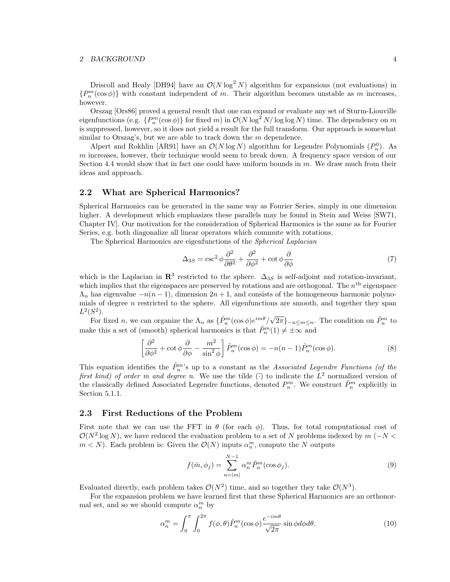#### 2 BACKGROUND 4

Driscoll and Healy [DH94] have an  $\mathcal{O}(N \log^2 N)$  algorithm for expansions (not evaluations) in  ${P_n^m(\cos\phi)}$  with constant independent of m. Their algorithm becomes unstable as m increases, however.

Orszag [Ors86] proved a general result that one can expand or evaluate any set of Sturm-Liouville eigenfunctions (e.g.  $\{P_n^m(\cos \phi)\}\$ for fixed m) in  $\mathcal{O}(N \log^2 N / \log \log N)$  time. The dependency on m is suppressed, however, so it does not yield a result for the full transform. Our approach is somewhat similar to Orszag's, but we are able to track down the m dependence.

Alpert and Rokhlin [AR91] have an  $\mathcal{O}(N \log N)$  algorithm for Legendre Polynomials  $(P_n^0)$ . As m increases, however, their technique would seem to break down. A frequency space version of our Section 4.4 would show that in fact one could have uniform bounds in m. We draw much from their ideas and approach.

## 2.2 What are Spherical Harmonics?

Spherical Harmonics can be generated in the same way as Fourier Series, simply in one dimension higher. A development which emphasizes these parallels may be found in Stein and Weiss [SW71, Chapter IV]. Our motivation for the consideration of Spherical Harmonics is the same as for Fourier Series, e.g. both diagonalize all linear operators which commute with rotations.

The Spherical Harmonics are eigenfunctions of the Spherical Laplacian

$$
\Delta_{3S} = \csc^2 \phi \frac{\partial^2}{\partial \theta^2} + \frac{\partial^2}{\partial \phi^2} + \cot \phi \frac{\partial}{\partial \phi} \tag{7}
$$

which is the Laplacian in  $\mathbb{R}^3$  restricted to the sphere.  $\Delta_{3S}$  is self-adjoint and rotation-invariant, which implies that the eigenspaces are preserved by rotations and are orthogonal. The  $n<sup>th</sup>$  eigenspace  $\Lambda_n$  has eigenvalue  $-n(n-1)$ , dimension  $2n+1$ , and consists of the homogeneous harmonic polynomials of degree  $n$  restricted to the sphere. All eigenfunctions are smooth, and together they span  $L^2(S^2)$ .

For fixed n, we can organize the  $\Lambda_n$  as  $\{\tilde{P}_n^m(\cos\phi)e^{im\theta}/\sqrt{2\pi}\}_{-n\leq m\leq n}$ . The condition on  $\tilde{P}_n^m$  to make this a set of (smooth) spherical harmonics is that  $\tilde{P}_n^m(1) \neq \pm \infty$  and

$$
\left[\frac{\partial^2}{\partial \phi^2} + \cot \phi \frac{\partial}{\partial \phi} - \frac{m^2}{\sin^2 \phi} \right] \tilde{P}_n^m(\cos \phi) = -n(n-1)\tilde{P}_n^m(\cos \phi). \tag{8}
$$

This equation identifies the  $\tilde{P}_n^{m,s}$  up to a constant as the Associated Legendre Functions (of the first kind) of order m and degree n. We use the tilde ( $\tilde{c}$ ) to indicate the  $L^2$  normalized version of the classically defined Associated Legendre functions, denoted  $P_n^m$ . We construct  $\tilde{P}_n^m$  explicitly in Section 5.1.1.

#### 2.3 First Reductions of the Problem

First note that we can use the FFT in  $\theta$  (for each  $\phi$ ). Thus, for total computational cost of  $\mathcal{O}(N^2 \log N)$ , we have reduced the evaluation problem to a set of N problems indexed by  $m$  (−N <  $m < N$ ). Each problem is: Given the  $\mathcal{O}(N)$  inputs  $\alpha_n^m$ , compute the N outputs

$$
f(\hat{m}, \phi_j) = \sum_{n=|m|}^{N-1} \alpha_n^m \tilde{P}_n^m(\cos \phi_j).
$$
 (9)

Evaluated directly, each problem takes  $\mathcal{O}(N^2)$  time, and so together they take  $\mathcal{O}(N^3)$ .

For the expansion problem we have learned first that these Spherical Harmonics are an orthonormal set, and so we should compute  $\alpha_n^m$  by

$$
\alpha_n^m = \int_0^\pi \int_0^{2\pi} f(\phi, \theta) \tilde{P}_n^m(\cos \phi) \frac{e^{-im\theta}}{\sqrt{2\pi}} \sin \phi d\phi d\theta. \tag{10}
$$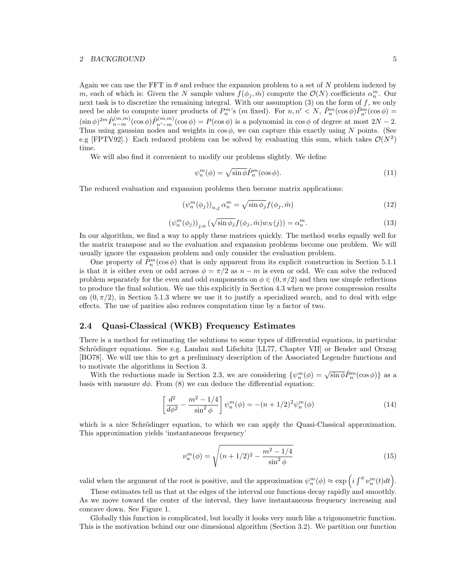#### 2 BACKGROUND 5

Again we can use the FFT in  $\theta$  and reduce the expansion problem to a set of N problem indexed by m, each of which is: Given the N sample values  $f(\phi_j, \hat{m})$  compute the  $\mathcal{O}(N)$  coefficients  $\alpha_n^m$ . Our next task is to discretize the remaining integral. With our assumption  $(3)$  on the form of f, we only need be able to compute inner products of  $P_n^m$ 's  $(m \text{ fixed})$ . For  $n, n' \leq N$ ,  $\tilde{P}_n^m(\cos \phi) \tilde{P}_{n'}^m(\cos \phi) =$  $(\sin \phi)^{2m} \tilde{P}_{n-m}^{(m,m)}(\cos \phi) \tilde{P}_{n'-m}^{(m,m)}(\cos \phi) = P(\cos \phi)$  is a polynomial in  $\cos \phi$  of degree at most  $2N - 2$ . Thus using gaussian nodes and weights in  $\cos \phi$ , we can capture this exactly using N points. (See e.g [FPTV92].) Each reduced problem can be solved by evaluating this sum, which takes  $\mathcal{O}(N^2)$ time.

We will also find it convenient to modify our problems slightly. We define

$$
\psi_n^m(\phi) = \sqrt{\sin \phi} \tilde{P}_n^m(\cos \phi). \tag{11}
$$

The reduced evaluation and expansion problems then become matrix applications:

$$
\left(\psi_n^m(\phi_j)\right)_{n,j}\alpha_n^m = \sqrt{\sin\phi_j}f(\phi_j,\hat{m})\tag{12}
$$

$$
\left(\psi_n^m(\phi_j)\right)_{j,n} \left(\sqrt{\sin\phi_j} f(\phi_j,\hat{m}) w_N(j)\right) = \alpha_n^m. \tag{13}
$$

In our algorithm, we find a way to apply these matrices quickly. The method works equally well for the matrix transpose and so the evaluation and expansion problems become one problem. We will usually ignore the expansion problem and only consider the evaluation problem.

One property of  $\tilde{P}_n^m(\cos \phi)$  that is only apparent from its explicit construction in Section 5.1.1 is that it is either even or odd across  $\phi = \pi/2$  as  $n - m$  is even or odd. We can solve the reduced problem separately for the even and odd components on  $\phi \in (0, \pi/2)$  and then use simple reflections to produce the final solution. We use this explicitly in Section 4.3 when we prove compression results on  $(0, \pi/2)$ , in Section 5.1.3 where we use it to justify a specialized search, and to deal with edge effects. The use of parities also reduces computation time by a factor of two.

## 2.4 Quasi-Classical (WKB) Frequency Estimates

There is a method for estimating the solutions to some types of differential equations, in particular Schrödinger equations. See e.g. Landau and Lifschitz [LL77, Chapter VII] or Bender and Orszag [BO78]. We will use this to get a preliminary description of the Associated Legendre functions and to motivate the algorithms in Section 3.

With the reductions made in Section 2.3, we are considering  $\{\psi_n^m(\phi) = \sqrt{\sin \phi} \tilde{P}_n^m(\cos \phi)\}\$ as a basis with measure  $d\phi$ . From (8) we can deduce the differential equation:

$$
\left[\frac{d^2}{d\phi^2} - \frac{m^2 - 1/4}{\sin^2 \phi}\right] \psi_n^m(\phi) = -(n + 1/2)^2 \psi_n^m(\phi)
$$
\n(14)

which is a nice Schrödinger equation, to which we can apply the Quasi-Classical approximation. This approximation yields 'instantaneous frequency'

$$
\nu_n^m(\phi) = \sqrt{(n+1/2)^2 - \frac{m^2 - 1/4}{\sin^2 \phi}}
$$
\n(15)

valid when the argument of the root is positive, and the approximation  $\psi_n^m(\phi) \approx \exp\left(i \int^{\phi} \nu_n^m(t) dt\right)$ .

These estimates tell us that at the edges of the interval our functions decay rapidly and smoothly. As we move toward the center of the interval, they have instantaneous frequency increasing and concave down. See Figure 1.

Globally this function is complicated, but locally it looks very much like a trigonometric function. This is the motivation behind our one dimesional algorithm (Section 3.2). We partition our function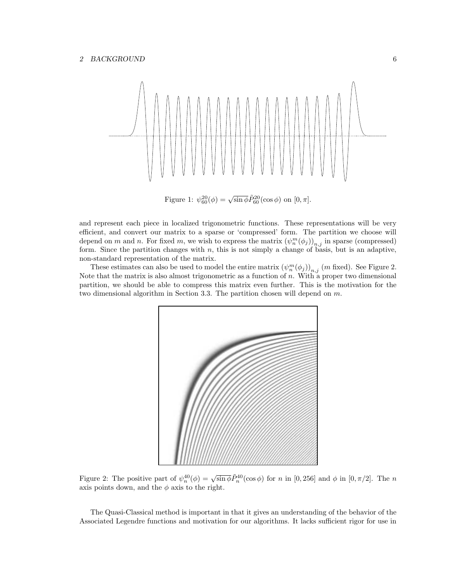

Figure 1:  $\psi_{60}^{20}(\phi) = \sqrt{\sin \phi} \tilde{P}_{60}^{20}(\cos \phi)$  on  $[0, \pi]$ .

and represent each piece in localized trigonometric functions. These representations will be very efficient, and convert our matrix to a sparse or 'compressed' form. The partition we choose will depend on m and n. For fixed m, we wish to express the matrix  $(\psi_n^m(\phi_j))_{n,j}$  in sparse (compressed) form. Since the partition changes with  $n$ , this is not simply a change of basis, but is an adaptive, non-standard representation of the matrix.

These estimates can also be used to model the entire matrix  $(\psi_n^m(\phi_j))_{n,j}$  (m fixed). See Figure 2. Note that the matrix is also almost trigonometric as a function of n. With a proper two dimensional partition, we should be able to compress this matrix even further. This is the motivation for the two dimensional algorithm in Section 3.3. The partition chosen will depend on m.



Figure 2: The positive part of  $\psi_n^{40}(\phi) = \sqrt{\sin \phi} \tilde{P}_n^{40}(\cos \phi)$  for n in [0, 256] and  $\phi$  in [0,  $\pi/2$ ]. The n axis points down, and the  $\phi$  axis to the right.

The Quasi-Classical method is important in that it gives an understanding of the behavior of the Associated Legendre functions and motivation for our algorithms. It lacks sufficient rigor for use in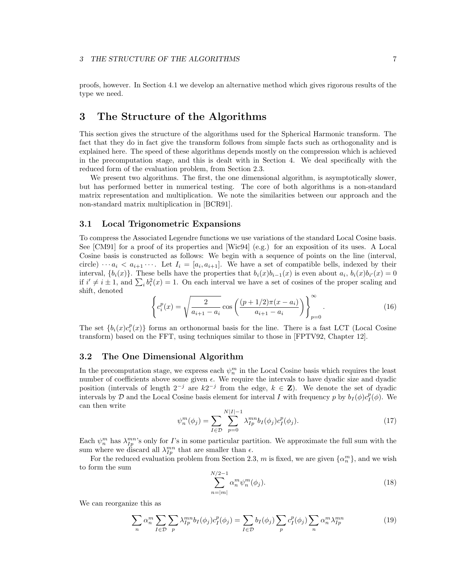proofs, however. In Section 4.1 we develop an alternative method which gives rigorous results of the type we need.

# 3 The Structure of the Algorithms

This section gives the structure of the algorithms used for the Spherical Harmonic transform. The fact that they do in fact give the transform follows from simple facts such as orthogonality and is explained here. The speed of these algorithms depends mostly on the compression which is achieved in the precomputation stage, and this is dealt with in Section 4. We deal specifically with the reduced form of the evaluation problem, from Section 2.3.

We present two algorithms. The first, the one dimensional algorithm, is asymptotically slower, but has performed better in numerical testing. The core of both algorithms is a non-standard matrix representation and multiplication. We note the similarities between our approach and the non-standard matrix multiplication in [BCR91].

## 3.1 Local Trigonometric Expansions

To compress the Associated Legendre functions we use variations of the standard Local Cosine basis. See [CM91] for a proof of its properties and [Wic94] (e.g.) for an exposition of its uses. A Local Cosine basis is constructed as follows: We begin with a sequence of points on the line (interval, circle)  $\cdots a_i < a_{i+1} \cdots$ . Let  $I_i = [a_i, a_{i+1}]$ . We have a set of compatible bells, indexed by their interval,  $\{b_i(x)\}\$ . These bells have the properties that  $b_i(x)b_{i-1}(x)$  is even about  $a_i$ ,  $b_i(x)b_{i'}(x) = 0$ if  $i' \neq i \pm 1$ , and  $\sum_i b_i^2(x) = 1$ . On each interval we have a set of cosines of the proper scaling and shift, denoted

$$
\left\{ c_i^p(x) = \sqrt{\frac{2}{a_{i+1} - a_i}} \cos \left( \frac{(p+1/2)\pi (x - a_i)}{a_{i+1} - a_i} \right) \right\}_{p=0}^{\infty}.
$$
 (16)

The set  ${b_i(x)c_i^p(x)}$  forms an orthonormal basis for the line. There is a fast LCT (Local Cosine transform) based on the FFT, using techniques similar to those in [FPTV92, Chapter 12].

#### 3.2 The One Dimensional Algorithm

In the precomputation stage, we express each  $\psi_n^m$  in the Local Cosine basis which requires the least number of coefficients above some given  $\epsilon$ . We require the intervals to have dyadic size and dyadic position (intervals of length  $2^{-j}$  are  $k2^{-j}$  from the edge,  $k \in \mathbb{Z}$ ). We denote the set of dyadic intervals by D and the Local Cosine basis element for interval I with frequency p by  $b_I(\phi)c_I^p(\phi)$ . We can then write

$$
\psi_n^m(\phi_j) = \sum_{I \in \mathcal{D}} \sum_{p=0}^{N|I|-1} \lambda_{I_p}^{mn} b_I(\phi_j) c_I^p(\phi_j). \tag{17}
$$

Each  $\psi_n^m$  has  $\lambda_{IP}^{mn}$ 's only for *I*'s in some particular partition. We approximate the full sum with the sum where we discard all  $\lambda_{Ip}^{mn}$  that are smaller than  $\epsilon$ .

For the reduced evaluation problem from Section 2.3, m is fixed, we are given  $\{\alpha_n^m\}$ , and we wish to form the sum

$$
\sum_{n=|m|}^{N/2-1} \alpha_n^m \psi_n^m(\phi_j).
$$
 (18)

We can reorganize this as

$$
\sum_{n} \alpha_n^m \sum_{I \in \mathcal{D}} \sum_p \lambda_{I_p}^{mn} b_I(\phi_j) c_I^p(\phi_j) = \sum_{I \in \mathcal{D}} b_I(\phi_j) \sum_p c_I^p(\phi_j) \sum_n \alpha_n^m \lambda_{I_p}^{mn}
$$
(19)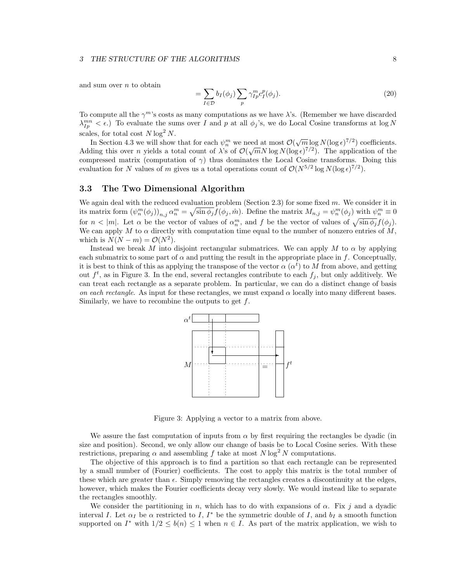#### 3 THE STRUCTURE OF THE ALGORITHMS 8

=

and sum over  $n$  to obtain

$$
= \sum_{I \in \mathcal{D}} b_I(\phi_j) \sum_p \gamma_{Ip}^m c_I^p(\phi_j). \tag{20}
$$

To compute all the  $\gamma^m$ 's costs as many computations as we have  $\lambda$ 's. (Remember we have discarded  $\lambda_{Ip}^{mn} < \epsilon$ .) To evaluate the sums over I and p at all  $\phi_j$ 's, we do Local Cosine transforms at log N scales, for total cost  $N \log^2 N$ .

In Section 4.3 we will show that for each  $\psi_n^m$  we need at most  $\mathcal{O}(\sqrt{m} \log N(\log \epsilon)^{7/2})$  coefficients. Adding this over *n* yields a total count of  $\lambda$ 's of  $\mathcal{O}(\sqrt{m}N \log N(\log \epsilon)^{7/2})$ . The application of the compressed matrix (computation of  $\gamma$ ) thus dominates the Local Cosine transforms. Doing this evaluation for N values of m gives us a total operations count of  $\mathcal{O}(N^{5/2} \log N (\log \epsilon)^{7/2})$ .

#### 3.3 The Two Dimensional Algorithm

We again deal with the reduced evaluation problem (Section 2.3) for some fixed  $m$ . We consider it in its matrix form  $(\psi_n^m(\phi_j))_{n,j} \alpha_n^m = \sqrt{\sin \phi_j} f(\phi_j, \hat{m})$ . Define the matrix  $M_{n,j} = \psi_n^m(\phi_j)$  with  $\psi_n^m \equiv 0$ for  $n < |m|$ . Let  $\alpha$  be the vector of values of  $\alpha_n^m$ , and f be the vector of values of  $\sqrt{\sin \phi_j} f(\phi_j)$ . We can apply M to  $\alpha$  directly with computation time equal to the number of nonzero entries of M, which is  $N(N-m) = \mathcal{O}(N^2)$ .

Instead we break M into disjoint rectangular submatrices. We can apply M to  $\alpha$  by applying each submatrix to some part of  $\alpha$  and putting the result in the appropriate place in f. Conceptually, it is best to think of this as applying the transpose of the vector  $\alpha (\alpha^t)$  to M from above, and getting out  $f^t$ , as in Figure 3. In the end, several rectangles contribute to each  $f_j$ , but only additively. We can treat each rectangle as a separate problem. In particular, we can do a distinct change of basis on each rectangle. As input for these rectangles, we must expand  $\alpha$  locally into many different bases. Similarly, we have to recombine the outputs to get  $f$ .



Figure 3: Applying a vector to a matrix from above.

We assure the fast computation of inputs from  $\alpha$  by first requiring the rectangles be dyadic (in size and position). Second, we only allow our change of basis be to Local Cosine series. With these restrictions, preparing  $\alpha$  and assembling f take at most  $N \log^2 N$  computations.

The objective of this approach is to find a partition so that each rectangle can be represented by a small number of (Fourier) coefficients. The cost to apply this matrix is the total number of these which are greater than  $\epsilon$ . Simply removing the rectangles creates a discontinuity at the edges, however, which makes the Fourier coefficients decay very slowly. We would instead like to separate the rectangles smoothly.

We consider the partitioning in n, which has to do with expansions of  $\alpha$ . Fix j and a dyadic interval I. Let  $\alpha_I$  be  $\alpha$  restricted to I, I<sup>\*</sup> be the symmetric double of I, and  $b_I$  a smooth function supported on  $I^*$  with  $1/2 \leq b(n) \leq 1$  when  $n \in I$ . As part of the matrix application, we wish to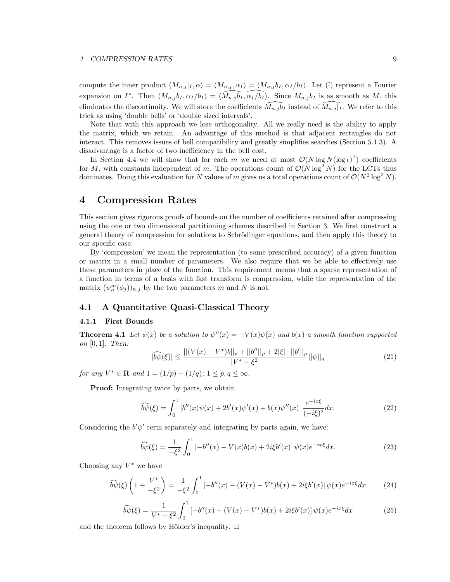compute the inner product  $\langle M_{n,j} | I, \alpha \rangle = \langle M_{n,j}, \alpha_I \rangle = \langle M_{n,j} b_I, \alpha_I / b_I \rangle$ . Let ( $\hat{\cdot}$ ) represent a Fourier expansion on  $I^*$ . Then  $\langle M_{n,j} b_I, \alpha_I/b_I \rangle = \langle \widehat{M_{n,j} b_I}, \widehat{\alpha_I/b_I} \rangle$ . Since  $M_{n,j} b_I$  is as smooth as M, this eliminates the discontinuity. We will store the coefficients  $\tilde{M}_{n,j} \tilde{b}_I$  instead of  $\tilde{M}_{n,j} | I$ . We refer to this trick as using 'double bells' or 'double sized intervals'.

Note that with this approach we lose orthogonality. All we really need is the ability to apply the matrix, which we retain. An advantage of this method is that adjacent rectangles do not interact. This removes issues of bell compatibility and greatly simplifies searches (Section 5.1.3). A disadvantage is a factor of two inefficiency in the bell cost.

In Section 4.4 we will show that for each m we need at most  $O(N \log N (\log \epsilon)^7)$  coefficients for M, with constants independent of m. The operations count of  $\mathcal{O}(N \log^2 N)$  for the LCTs thus dominates. Doing this evaluation for N values of m gives us a total operations count of  $\mathcal{O}(N^2 \log^2 N)$ .

# 4 Compression Rates

This section gives rigorous proofs of bounds on the number of coefficients retained after compressing using the one or two dimensional partitioning schemes described in Section 3. We first construct a general theory of compression for solutions to Schrödinger equations, and then apply this theory to our specific case.

By 'compression' we mean the representation (to some prescribed accuracy) of a given function or matrix in a small number of parameters. We also require that we be able to effectively use these parameters in place of the function. This requirement means that a sparse representation of a function in terms of a basis with fast transform is compression, while the representation of the matrix  $(\psi_n^m(\phi_j))_{n,j}$  by the two parameters m and N is not.

## 4.1 A Quantitative Quasi-Classical Theory

#### 4.1.1 First Bounds

**Theorem 4.1** Let  $\psi(x)$  be a solution to  $\psi''(x) = -V(x)\psi(x)$  and  $b(x)$  a smooth function supported on  $[0, 1]$ . Then:

$$
|\widehat{b\psi}(\xi)| \le \frac{||(V(x) - V^*)b||_p + ||b''||_p + 2|\xi| \cdot ||b'||_p}{|V^* - \xi^2|} ||\psi||_q \tag{21}
$$

for any  $V^* \in \mathbf{R}$  and  $1 = (1/p) + (1/q); 1 \le p, q \le \infty$ .

Proof: Integrating twice by parts, we obtain

$$
\widehat{b\psi}(\xi) = \int_0^1 \left[ b''(x)\psi(x) + 2b'(x)\psi'(x) + b(x)\psi''(x) \right] \frac{e^{-ix\xi}}{(-i\xi)^2} dx.
$$
 (22)

Considering the  $b'\psi'$  term separately and integrating by parts again, we have:

$$
\widehat{b\psi}(\xi) = \frac{1}{-\xi^2} \int_0^1 \left[ -b''(x) - V(x)b(x) + 2i\xi b'(x) \right] \psi(x) e^{-ix\xi} dx.
$$
 (23)

Choosing any  $V^*$  we have

$$
\widehat{b\psi}(\xi)\left(1+\frac{V^*}{-\xi^2}\right) = \frac{1}{-\xi^2} \int_0^1 \left[-b''(x) - (V(x) - V^*)b(x) + 2i\xi b'(x)\right] \psi(x) e^{-ix\xi} dx \tag{24}
$$

$$
\widehat{b\psi}(\xi) = \frac{1}{V^* - \xi^2} \int_0^1 \left[ -b''(x) - (V(x) - V^*)b(x) + 2i\xi b'(x) \right] \psi(x) e^{-ix\xi} dx \tag{25}
$$

and the theorem follows by Hölder's inequality.  $\square$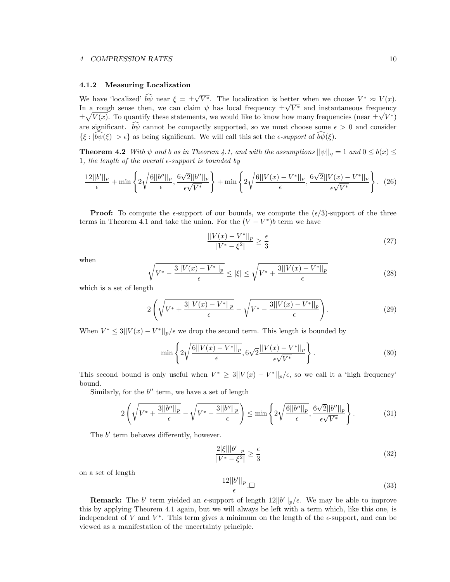#### 4 COMPRESSION RATES 10

#### 4.1.2 Measuring Localization

We have 'localized'  $\widehat{b}\widehat{\psi}$  near  $\xi = \pm \sqrt{V^*}$ . The localization is better when we choose  $V^* \approx V(x)$ . In a rough sense then, we can claim  $\psi$  has local frequency  $\pm \sqrt{V^*}$  and instantaneous frequency  $\pm \sqrt{V(x)}$ . To quantify these statements, we would like to know how many frequencies (near  $\pm \sqrt{V^*}$ ) are significant.  $\widehat{b}\widehat{\psi}$  cannot be compactly supported, so we must choose some  $\epsilon > 0$  and consider  $\{\xi : |\widehat{b}\psi(\xi)| > \epsilon\}$  as being significant. We will call this set the  $\epsilon$ -support of  $\widehat{b}\psi(\xi)$ .

**Theorem 4.2** With  $\psi$  and b as in Theorem 4.1, and with the assumptions  $||\psi||_q = 1$  and  $0 \leq b(x) \leq$ 1, the length of the overall  $\epsilon$ -support is bounded by

$$
\frac{12||b'||_p}{\epsilon} + \min\left\{2\sqrt{\frac{6||b''||_p}{\epsilon}}, \frac{6\sqrt{2}||b''||_p}{\epsilon\sqrt{V^*}}\right\} + \min\left\{2\sqrt{\frac{6||V(x) - V^*||_p}{\epsilon}}, \frac{6\sqrt{2}||V(x) - V^*||_p}{\epsilon\sqrt{V^*}}\right\}.
$$
 (26)

**Proof:** To compute the  $\epsilon$ -support of our bounds, we compute the  $(\epsilon/3)$ -support of the three terms in Theorem 4.1 and take the union. For the  $(V - V^*)b$  term we have

$$
\frac{||V(x) - V^*||_p}{|V^* - \xi^2|} \ge \frac{\epsilon}{3}
$$
\n(27)

when

$$
\sqrt{V^* - \frac{3||V(x) - V^*||_p}{\epsilon}} \le |\xi| \le \sqrt{V^* + \frac{3||V(x) - V^*||_p}{\epsilon}} \tag{28}
$$

which is a set of length

$$
2\left(\sqrt{V^* + \frac{3||V(x) - V^*||_p}{\epsilon}} - \sqrt{V^* - \frac{3||V(x) - V^*||_p}{\epsilon}}\right).
$$
\n(29)

When  $V^* \leq 3||V(x) - V^*||_p/\epsilon$  we drop the second term. This length is bounded by

$$
\min\left\{2\sqrt{\frac{6||V(x) - V^*||_p}{\epsilon}}, 6\sqrt{2}\frac{||V(x) - V^*||_p}{\epsilon\sqrt{V^*}}\right\}.
$$
\n(30)

This second bound is only useful when  $V^* \geq 3||V(x) - V^*||_p/\epsilon$ , so we call it a 'high frequency' bound.

Similarly, for the  $b''$  term, we have a set of length

$$
2\left(\sqrt{V^* + \frac{3||b''||_p}{\epsilon}} - \sqrt{V^* - \frac{3||b''||_p}{\epsilon}}\right) \le \min\left\{2\sqrt{\frac{6||b''||_p}{\epsilon}}, \frac{6\sqrt{2}||b''||_p}{\epsilon\sqrt{V^*}}\right\}.
$$
(31)

The  $b'$  term behaves differently, however.

$$
\frac{2|\xi|||b'||_p}{|V^* - \xi^2|} \ge \frac{\epsilon}{3}
$$
\n(32)

on a set of length

$$
\frac{12||b'||_p}{\epsilon} \square \tag{33}
$$

**Remark:** The b' term yielded an  $\epsilon$ -support of length  $12||b'||_p/\epsilon$ . We may be able to improve this by applying Theorem 4.1 again, but we will always be left with a term which, like this one, is independent of V and  $V^*$ . This term gives a minimum on the length of the  $\epsilon$ -support, and can be viewed as a manifestation of the uncertainty principle.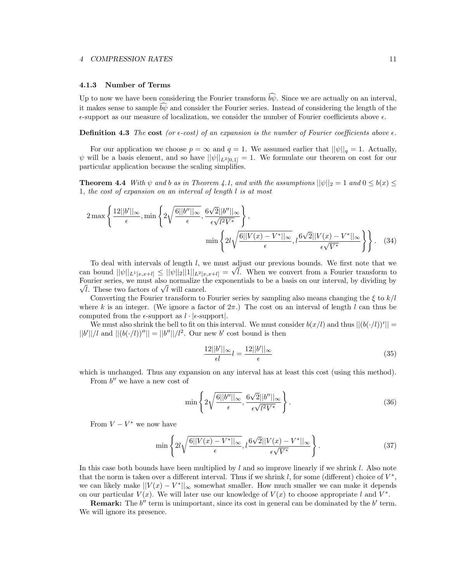#### 4.1.3 Number of Terms

Up to now we have been considering the Fourier transform  $\widehat{b}\widehat{\psi}$ . Since we are actually on an interval, it makes sense to sample  $\hat{b}\hat{w}$  and consider the Fourier series. Instead of considering the length of the  $\epsilon$ -support as our measure of localization, we consider the number of Fourier coefficients above  $\epsilon$ .

**Definition 4.3** The cost (or  $\epsilon$ -cost) of an expansion is the number of Fourier coefficients above  $\epsilon$ .

For our application we choose  $p = \infty$  and  $q = 1$ . We assumed earlier that  $||\psi||_q = 1$ . Actually,  $\psi$  will be a basis element, and so have  $||\psi||_{L^2[0,1]} = 1$ . We formulate our theorem on cost for our particular application because the scaling simplifies.

**Theorem 4.4** With  $\psi$  and b as in Theorem 4.1, and with the assumptions  $||\psi||_2 = 1$  and  $0 \leq b(x) \leq$ 1, the cost of expansion on an interval of length l is at most

$$
2\max\left\{\frac{12||b'||_{\infty}}{\epsilon},\min\left\{2\sqrt{\frac{6||b''||_{\infty}}{\epsilon}},\frac{6\sqrt{2}||b''||_{\infty}}{\epsilon\sqrt{l^{2}V^{*}}}\right\},\right\}
$$

$$
\min\left\{2l\sqrt{\frac{6||V(x)-V^{*}||_{\infty}}{\epsilon}},\frac{6\sqrt{2}||V(x)-V^{*}||_{\infty}}{\epsilon\sqrt{V^{*}}}\right\}\right\}.
$$
(34)

To deal with intervals of length l, we must adjust our previous bounds. We first note that we can bound  $||\psi||_{L^1[x,x+l]} \le ||\psi||_2||1||_{L^2[x,x+l]} = \sqrt{l}$ . When we convert from a Fourier transform to  $\sqrt{l}$ . These two factors of  $\sqrt{l}$  will cancel. Fourier series, we must also normalize the exponentials to be a basis on our interval, by dividing by

Converting the Fourier transform to Fourier series by sampling also means changing the  $\xi$  to  $k/l$ where k is an integer. (We ignore a factor of  $2\pi$ .) The cost on an interval of length l can thus be computed from the  $\epsilon$ -support as  $l \cdot |\epsilon$ -support.

We must also shrink the bell to fit on this interval. We must consider  $b(x/l)$  and thus  $||(b(\cdot/l))'|| =$  $||b'||/l$  and  $||(b(\cdot/l))^{\prime\prime}|| = ||b''||/l^2$ . Our new b' cost bound is then

$$
\frac{12||b'||_{\infty}}{\epsilon l} = \frac{12||b'||_{\infty}}{\epsilon} \tag{35}
$$

which is unchanged. Thus any expansion on any interval has at least this cost (using this method).

From  $b''$  we have a new cost of

$$
\min\left\{2\sqrt{\frac{6||b''||_{\infty}}{\epsilon}}, \frac{6\sqrt{2}||b''||_{\infty}}{\epsilon\sqrt{l^2V^*}}\right\}.
$$
\n(36)

From  $V - V^*$  we now have

$$
\min\left\{2l\sqrt{\frac{6||V(x) - V^*||_{\infty}}{\epsilon}}, l\frac{6\sqrt{2}||V(x) - V^*||_{\infty}}{\epsilon\sqrt{V^*}}\right\}.
$$
\n(37)

In this case both bounds have been multiplied by  $l$  and so improve linearly if we shrink  $l$ . Also note that the norm is taken over a different interval. Thus if we shrink  $l$ , for some (different) choice of  $V^*$ , we can likely make  $||V(x) - V^*||_{\infty}$  somewhat smaller. How much smaller we can make it depends on our particular  $V(x)$ . We will later use our knowledge of  $V(x)$  to choose appropriate l and  $V^*$ .

**Remark:** The  $b''$  term is unimportant, since its cost in general can be dominated by the  $b'$  term. We will ignore its presence.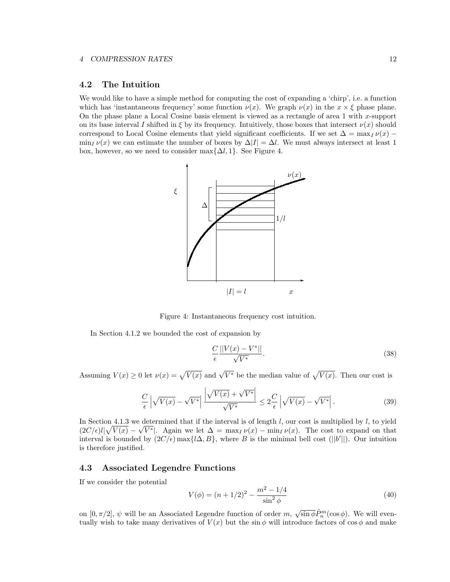## 4.2 The Intuition

We would like to have a simple method for computing the cost of expanding a 'chirp', i.e. a function which has 'instantaneous frequency' some function  $\nu(x)$ . We graph  $\nu(x)$  in the  $x \times \xi$  phase plane. On the phase plane a Local Cosine basis element is viewed as a rectangle of area 1 with  $x$ -support on its base interval I shifted in  $\xi$  by its frequency. Intuitively, those boxes that intersect  $\nu(x)$  should correspond to Local Cosine elements that yield significant coefficients. If we set  $\Delta = \max_I \nu(x) \min_I \nu(x)$  we can estimate the number of boxes by  $\Delta |I| = \Delta l$ . We must always intersect at least 1 box, however, so we need to consider max $\{\Delta l, 1\}$ . See Figure 4.



Figure 4: Instantaneous frequency cost intuition.

In Section 4.1.2 we bounded the cost of expansion by

$$
\frac{C}{\epsilon} \frac{||V(x) - V^*||}{\sqrt{V^*}}.
$$
\n(38)

Assuming  $V(x) \ge 0$  let  $\nu(x) = \sqrt{V(x)}$  and  $\sqrt{V^*}$  be the median value of  $\sqrt{V(x)}$ . Then our cost is

$$
\frac{C}{\epsilon} \left| \sqrt{V(x)} - \sqrt{V^*} \right| \frac{\left| \sqrt{V(x)} + \sqrt{V^*} \right|}{\sqrt{V^*}} \le 2 \frac{C}{\epsilon} \left| \sqrt{V(x)} - \sqrt{V^*} \right|.
$$
\n(39)

In Section 4.1.3 we determined that if the interval is of length  $l$ , our cost is multiplied by  $l$ , to yield  $(2C/\epsilon)l/\sqrt{V(x)} - \sqrt{V^*}$ . Again we let  $\Delta = \max_I \nu(x) - \min_I \nu(x)$ . The cost to expand on that interval is bounded by  $(2C/\epsilon)$  max $\{l\Delta, B\}$ , where B is the minimal bell cost (||b'||). Our intuition is therefore justified.

## 4.3 Associated Legendre Functions

If we consider the potential

$$
V(\phi) = (n+1/2)^2 - \frac{m^2 - 1/4}{\sin^2 \phi} \tag{40}
$$

on  $[0, \pi/2], \psi$  will be an Associated Legendre function of order  $m$ ,  $\sqrt{\sin \phi} \tilde{P}_n^m(\cos \phi)$ . We will eventually wish to take many derivatives of  $V(x)$  but the sin  $\phi$  will introduce factors of cos  $\phi$  and make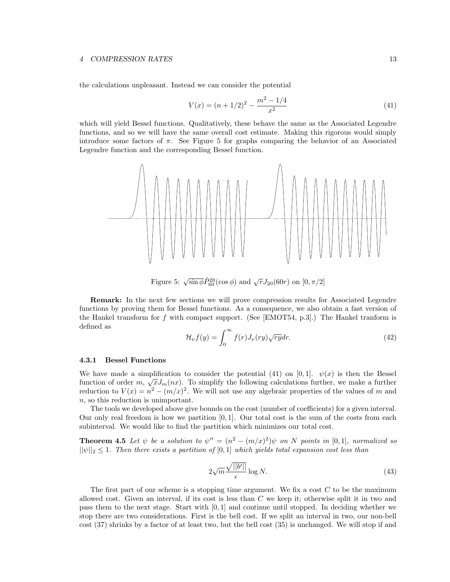#### 4 COMPRESSION RATES 13

the calculations unpleasant. Instead we can consider the potential

$$
V(x) = (n + 1/2)^2 - \frac{m^2 - 1/4}{x^2}
$$
\n(41)

which will yield Bessel functions. Qualitatively, these behave the same as the Associated Legendre functions, and so we will have the same overall cost estimate. Making this rigorous would simply introduce some factors of  $\pi$ . See Figure 5 for graphs comparing the behavior of an Associated Legendre function and the corresponding Bessel function.



Figure 5:  $\sqrt{\sin \phi} \tilde{P}_{60}^{20}(\cos \phi)$  and  $\sqrt{r} J_{20}(60r)$  on  $[0, \pi/2]$ 

Remark: In the next few sections we will prove compression results for Associated Legendre functions by proving them for Bessel functions. As a consequence, we also obtain a fast version of the Hankel transform for f with compact support. (See [EMOT54, p.3].) The Hankel tranform is defined as

$$
\mathcal{H}_{\nu}f(y) = \int_0^\infty f(r)J_{\nu}(ry)\sqrt{ry}dr.
$$
\n(42)

#### 4.3.1 Bessel Functions

We have made a simplification to consider the potential (41) on [0, 1].  $\psi(x)$  is then the Bessel function of order  $m, \sqrt{x} J_m(nx)$ . To simplify the following calculations further, we make a further reduction to  $V(x) = n^2 - (m/x)^2$ . We will not use any algebraic properties of the values of m and n, so this reduction is unimportant.

The tools we developed above give bounds on the cost (number of coefficients) for a given interval. Our only real freedom is how we partition  $[0, 1]$ . Our total cost is the sum of the costs from each subinterval. We would like to find the partition which minimizes our total cost.

**Theorem 4.5** Let  $\psi$  be a solution to  $\psi'' = (n^2 - (m/x)^2)\psi$  on N points in [0,1], normalized so  $||\psi||_2 \leq 1$ . Then there exists a partition of [0, 1] which yields total expansion cost less than

$$
2\sqrt{m}\frac{\sqrt{||b'||}}{\epsilon}\log N.\tag{43}
$$

The first part of our scheme is a stopping time argument. We fix a cost  $C$  to be the maximum allowed cost. Given an interval, if its cost is less than  $C$  we keep it; otherwise split it in two and pass them to the next stage. Start with [0, 1] and continue until stopped. In deciding whether we stop there are two considerations. First is the bell cost. If we split an interval in two, our non-bell cost (37) shrinks by a factor of at least two, but the bell cost (35) is unchanged. We will stop if and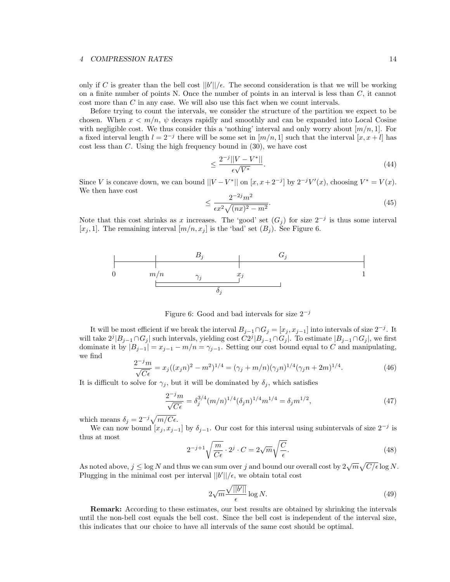#### 4 COMPRESSION RATES 14

only if C is greater than the bell cost  $||b'||/\epsilon$ . The second consideration is that we will be working on a finite number of points N. Once the number of points in an interval is less than  $C$ , it cannot cost more than C in any case. We will also use this fact when we count intervals.

Before trying to count the intervals, we consider the structure of the partition we expect to be chosen. When  $x \leq m/n$ ,  $\psi$  decays rapidly and smoothly and can be expanded into Local Cosine with negligible cost. We thus consider this a 'nothing' interval and only worry about  $[m/n, 1]$ . For a fixed interval length  $l = 2^{-j}$  there will be some set in  $[m/n, 1]$  such that the interval  $[x, x + l]$  has cost less than C. Using the high frequency bound in (30), we have cost

$$
\leq \frac{2^{-j}||V - V^*||}{\epsilon \sqrt{V^*}}.\tag{44}
$$

Since V is concave down, we can bound  $||V - V^*||$  on  $[x, x + 2^{-j}]$  by  $2^{-j}V'(x)$ , choosing  $V^* = V(x)$ . We then have cost

$$
\leq \frac{2^{-2j}m^2}{\epsilon x^2 \sqrt{(nx)^2 - m^2}}.\tag{45}
$$

Note that this cost shrinks as x increases. The 'good' set  $(G_j)$  for size  $2^{-j}$  is thus some interval [ $x_j$ , 1]. The remaining interval  $[m/n, x_j]$  is the 'bad' set  $(B_j)$ . See Figure 6.



Figure 6: Good and bad intervals for size  $2^{-j}$ 

It will be most efficient if we break the interval  $B_{j-1} \cap G_j = [x_j, x_{j-1}]$  into intervals of size  $2^{-j}$ . It will take  $2^{j} |B_{j-1} \cap G_j|$  such intervals, yielding cost  $C2^{j} |B_{j-1} \cap G_j|$ . To estimate  $|B_{j-1} \cap G_j|$ , we first dominate it by  $|B_{j-1}| = x_{j-1} - m/n = \gamma_{j-1}$ . Setting our cost bound equal to C and manipulating, we find

$$
\frac{2^{-j}m}{\sqrt{C\epsilon}} = x_j((x_jn)^2 - m^2)^{1/4} = (\gamma_j + m/n)(\gamma_jn)^{1/4}(\gamma_jn + 2m)^{1/4}.
$$
 (46)

It is difficult to solve for  $\gamma_j$ , but it will be dominated by  $\delta_j$ , which satisfies

$$
\frac{2^{-j}m}{\sqrt{C\epsilon}} = \delta_j^{3/4}(m/n)^{1/4}(\delta_j n)^{1/4}m^{1/4} = \delta_j m^{1/2},\tag{47}
$$

which means  $\delta_j = 2^{-j} \sqrt{m/C\epsilon}$ .

We can now bound  $[x_j, x_{j-1}]$  by  $\delta_{j-1}$ . Our cost for this interval using subintervals of size  $2^{-j}$  is thus at most

$$
2^{-j+1}\sqrt{\frac{m}{C\epsilon}} \cdot 2^j \cdot C = 2\sqrt{m}\sqrt{\frac{C}{\epsilon}}.\tag{48}
$$

As noted above,  $j \leq \log N$  and thus we can sum over j and bound our overall cost by  $2\sqrt{m}\sqrt{C/\epsilon} \log N$ . Plugging in the minimal cost per interval  $||b'||/\epsilon$ , we obtain total cost

$$
2\sqrt{m}\frac{\sqrt{||b'||}}{\epsilon}\log N.\tag{49}
$$

Remark: According to these estimates, our best results are obtained by shrinking the intervals until the non-bell cost equals the bell cost. Since the bell cost is independent of the interval size, this indicates that our choice to have all intervals of the same cost should be optimal.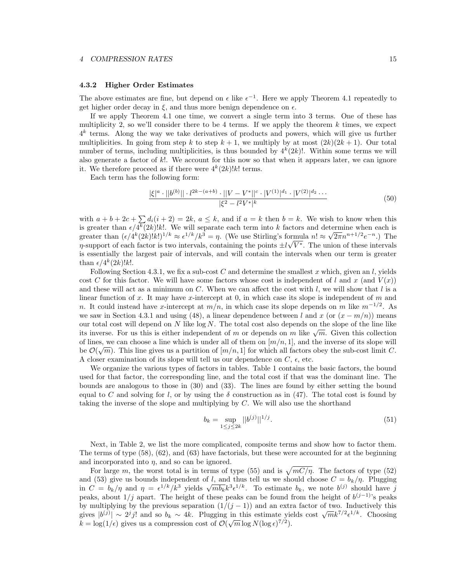#### 4.3.2 Higher Order Estimates

The above estimates are fine, but depend on  $\epsilon$  like  $\epsilon^{-1}$ . Here we apply Theorem 4.1 repeatedly to get higher order decay in  $\xi$ , and thus more benign dependence on  $\epsilon$ .

If we apply Theorem 4.1 one time, we convert a single term into 3 terms. One of these has multiplicity 2, so we'll consider there to be 4 terms. If we apply the theorem  $k$  times, we expect  $4^k$  terms. Along the way we take derivatives of products and powers, which will give us further multiplicities. In going from step k to step  $k + 1$ , we multiply by at most  $(2k)(2k + 1)$ . Our total number of terms, including multiplicities, is thus bounded by  $4^k(2k)!$ . Within some terms we will also generate a factor of k!. We account for this now so that when it appears later, we can ignore it. We therefore proceed as if there were  $4^k(2k)!k!$  terms.

Each term has the following form:

$$
\frac{|\xi|^a \cdot ||b^{(b)}|| \cdot l^{2k - (a+b)} \cdot ||V - V^*||^c \cdot |V^{(1)}|^{d_1} \cdot |V^{(2)}|^{d_2} \cdots}{|\xi^2 - l^2 V^*|^k}
$$
\n
$$
(50)
$$

with  $a + b + 2c + \sum_{i} d_i(i + 2) = 2k$ ,  $a \leq k$ , and if  $a = k$  then  $b = k$ . We wish to know when this is greater than  $\epsilon/4^k(2k)!k!$ . We will separate each term into k factors and determine when each is greater than  $(\epsilon/4^k(2k)!k!)^{1/k} \approx \epsilon^{1/k}/k^3 = \eta$ . (We use Stirling's formula  $n! \approx \sqrt{2\pi}n^{n+1/2}e^{-n}$ .) The  $\eta$ -support of each factor is two intervals, containing the points  $\pm l\sqrt{V^*}$ . The union of these intervals is essentially the largest pair of intervals, and will contain the intervals when our term is greater than  $\epsilon/4^k(2k)!k!$ .

Following Section 4.3.1, we fix a sub-cost C and determine the smallest x which, given an l, yields cost C for this factor. We will have some factors whose cost is independent of l and x (and  $V(x)$ ) and these will act as a minimum on  $C$ . When we can affect the cost with  $l$ , we will show that  $l$  is a linear function of  $x$ . It may have  $x$ -intercept at  $0$ , in which case its slope is independent of  $m$  and n. It could instead have x-intercept at  $m/n$ , in which case its slope depends on m like  $m^{-1/2}$ . As we saw in Section 4.3.1 and using (48), a linear dependence between l and x (or  $(x - m/n)$ ) means our total cost will depend on  $N$  like  $\log N$ . The total cost also depends on the slope of the line like its inverse. For us this is either independent of m or depends on m like  $\sqrt{m}$ . Given this collection of lines, we can choose a line which is under all of them on  $[m/n, 1]$ , and the inverse of its slope will be  $\mathcal{O}(\sqrt{m})$ . This line gives us a partition of  $[m/n, 1]$  for which all factors obey the sub-cost limit C. A closer examination of its slope will tell us our dependence on  $C$ ,  $\epsilon$ , etc.

We organize the various types of factors in tables. Table 1 contains the basic factors, the bound used for that factor, the corresponding line, and the total cost if that was the dominant line. The bounds are analogous to those in (30) and (33). The lines are found by either setting the bound equal to C and solving for l, or by using the  $\delta$  construction as in (47). The total cost is found by taking the inverse of the slope and multiplying by C. We will also use the shorthand

$$
b_k = \sup_{1 \le j \le 2k} ||b^{(j)}||^{1/j}.
$$
\n(51)

Next, in Table 2, we list the more complicated, composite terms and show how to factor them. The terms of type (58), (62), and (63) have factorials, but these were accounted for at the beginning and incorporated into  $\eta$ , and so can be ignored.

For large m, the worst total is in terms of type (55) and is  $\sqrt{mC/\eta}$ . The factors of type (52) and (53) give us bounds independent of l, and thus tell us we should choose  $C = b_k/\eta$ . Plugging in  $C = b_k/\eta$  and  $\eta = \epsilon^{1/k}/k^3$  yields  $\sqrt{mb_k}k^3\epsilon^{1/k}$ . To estimate  $b_k$ , we note  $b^{(j)}$  should have j peaks, about  $1/j$  apart. The height of these peaks can be found from the height of  $b^{(j-1)}$ 's peaks by multiplying by the previous separation  $(1/(j - 1))$  and an extra factor of two. Inductively this gives  $|b^{(j)}| \sim 2^{j}j!$  and so  $b_k \sim 4k$ . Plugging in this estimate yields cost  $\sqrt{m}k^{7/2}\epsilon^{1/k}$ . Choosing  $k = \log(1/\epsilon)$  gives us a compression cost of  $\mathcal{O}(\sqrt{m} \log N (\log \epsilon)^{7/2})$ .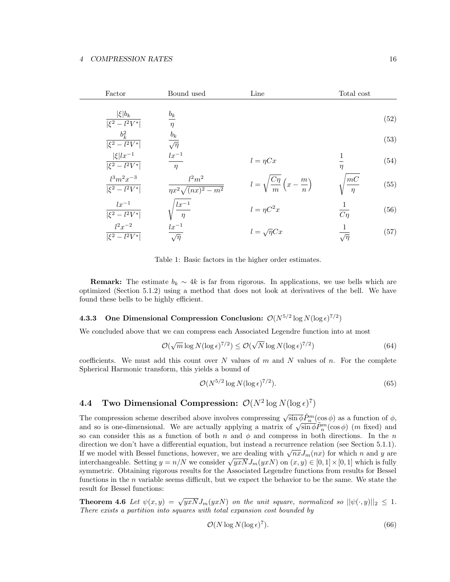| Factor                                 | Bound used                               | Line                                                        | Total cost        |      |
|----------------------------------------|------------------------------------------|-------------------------------------------------------------|-------------------|------|
| $ \xi b_k$<br>$ \xi^2 - l^2 V^* $      | $b_k$<br>$\eta$                          |                                                             |                   | (52) |
| $b_k^2$<br>$ \xi^2 - l^2 V^* $         | $rac{b_k}{\sqrt{\eta}}$                  |                                                             |                   | (53) |
| $ \xi lx^{-1}$<br>$ \xi^2 - l^2 V^* $  | $\frac{lx^{-1}}{\eta}$                   | $l = \eta Cx$                                               | $\eta$            | (54) |
| $l^3m^2x^{-3}$<br>$ \xi^2 - l^2 V^* $  | $l^2m^2$<br>$\eta x^2 \sqrt{(nx)^2-m^2}$ | $l = \sqrt{\frac{C\eta}{m}} \left( x - \frac{m}{n} \right)$ | mc<br>$\eta$      | (55) |
| $lx^{-1}$<br>$ \xi^2 - l^2 V^* $       | $\frac{lx^{-1}}{\eta}$                   | $l = \eta C^2 x$                                            | $\frac{1}{C\eta}$ | (56) |
| $l^{2}x^{-2}$<br>$\sqrt{\xi^2-l^2V^*}$ | $\frac{lx^{-1}}{\sqrt{\eta}}$            | $l = \sqrt{\eta}Cx$                                         | $\sqrt{\eta}$     | (57) |

Table 1: Basic factors in the higher order estimates.

**Remark:** The estimate  $b_k \sim 4k$  is far from rigorous. In applications, we use bells which are optimized (Section 5.1.2) using a method that does not look at derivatives of the bell. We have found these bells to be highly efficient.

# **4.3.3** One Dimensional Compression Conclusion:  $O(N^{5/2} \log N(\log \epsilon)^{7/2})$

We concluded above that we can compress each Associated Legendre function into at most

$$
\mathcal{O}(\sqrt{m}\log N(\log \epsilon)^{7/2}) \le \mathcal{O}(\sqrt{N}\log N(\log \epsilon)^{7/2})
$$
\n(64)

coefficients. We must add this count over N values of m and N values of n. For the complete Spherical Harmonic transform, this yields a bound of

$$
\mathcal{O}(N^{5/2}\log N(\log \epsilon)^{7/2}).\tag{65}
$$

# **4.4** Two Dimensional Compression:  $\mathcal{O}(N^2 \log N(\log \epsilon)^7)$

The compression scheme described above involves compressing  $\sqrt{\sin \phi} \tilde{P}_n^m(\cos \phi)$  as a function of  $\phi$ , and so is one-dimensional. We are actually applying a matrix of  $\sqrt{\sin \phi} \widetilde{P}_n^m(\cos \phi)$  (*m* fixed) and so can consider this as a function of both n and  $\phi$  and compress in both directions. In the n direction we don't have a differential equation, but instead a recurrence relation (see Section 5.1.1). If we model with Bessel functions, however, we are dealing with  $\sqrt{nx}J_m(nx)$  for which n and y are interchangeable. Setting  $y = n/N$  we consider  $\sqrt{yxN}J_m(yxN)$  on  $(x, y) \in [0, 1] \times [0, 1]$  which is fully symmetric. Obtaining rigorous results for the Associated Legendre functions from results for Bessel functions in the  $n$  variable seems difficult, but we expect the behavior to be the same. We state the result for Bessel functions:

**Theorem 4.6** Let  $\psi(x,y) = \sqrt{y x N} J_m(y x N)$  on the unit square, normalized so  $||\psi(\cdot,y)||_2 \leq 1$ . There exists a partition into squares with total expansion cost bounded by

$$
\mathcal{O}(N \log N (\log \epsilon)^7). \tag{66}
$$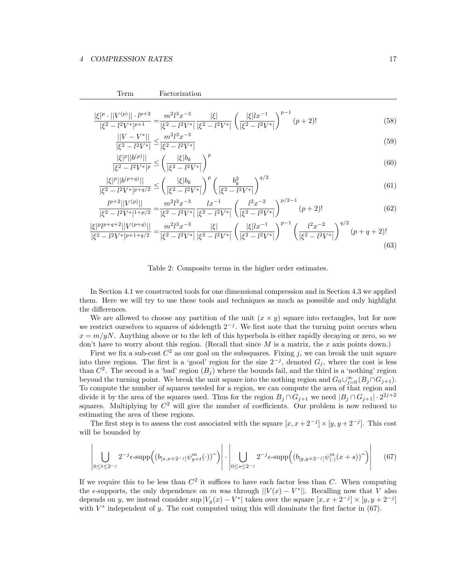$$
\frac{|\xi|^p \cdot ||V^{(p)}|| \cdot l^{p+2}}{|\xi^2 - l^2 V^*|^{p+1}} = \frac{m^2 l^3 x^{-3}}{|\xi^2 - l^2 V^*|} \frac{|\xi|}{|\xi^2 - l^2 V^*|} \left(\frac{|\xi| l x^{-1}}{|\xi^2 - l^2 V^*|}\right)^{p-1} (p+2)!
$$
\n
$$
||V - V^*|| \ge m^2 l^3 x^{-3}
$$
\n
$$
(58)
$$
\n
$$
(59)
$$

$$
\frac{||V - V^*||}{|\xi^2 - l^2 V^*|} \le \frac{m^2 l^3 x^{-3}}{|\xi^2 - l^2 V^*|}
$$
\n(59)

$$
\frac{|\xi|^p||b^{(p)}||}{|\xi^2 - l^2V^*|^p} \le \left(\frac{|\xi|b_k}{|\xi^2 - l^2V^*|}\right)^p
$$
\n(60)

$$
\frac{|\xi|^p ||b^{(p+q)}||}{|\xi^2 - l^2 V^*|^{p+q/2}} \le \left(\frac{|\xi| b_k}{|\xi^2 - l^2 V^*|}\right)^p \left(\frac{b_k^2}{|\xi^2 - l^2 V^*|}\right)^{q/2} \tag{61}
$$

$$
\frac{l^{p+2}||V^{(p)}||}{|\xi^2 - l^2V^*|^{1+p/2}} = \frac{m^2l^3x^{-3}}{|\xi^2 - l^2V^*|} \frac{l^2}{|\xi^2 - l^2V^*|} \left(\frac{l^2x^{-2}}{|\xi^2 - l^2V^*|}\right)^{p/2-1} (p+2)!
$$
(62)

$$
\frac{|\xi|^p l^{p+q+2} ||V^{(p+q)}||}{|\xi^2 - l^2 V^*|^{p+1+q/2}} = \frac{m^2 l^3 x^{-3}}{|\xi^2 - l^2 V^*|} \frac{|\xi|}{|\xi^2 - l^2 V^*|} \left(\frac{|\xi| l x^{-1}}{|\xi^2 - l^2 V^*|}\right)^{p-1} \left(\frac{l^2 x^{-2}}{|\xi^2 - l^2 V^*|}\right)^{q/2} (p+q+2)!\tag{63}
$$

Table 2: Composite terms in the higher order estimates.

In Section 4.1 we constructed tools for one dimensional compression and in Section 4.3 we applied them. Here we will try to use these tools and techniques as much as posssible and only highlight the differences.

We are allowed to choose any partition of the unit  $(x \times y)$  square into rectangles, but for now we restrict ourselves to squares of sidelength  $2^{-j}$ . We first note that the turning point occurs when  $x = m/yN$ . Anything above or to the left of this hyperbola is either rapidly decaying or zero, so we don't have to worry about this region. (Recall that since  $M$  is a matrix, the  $x$  axis points down.)

First we fix a sub-cost  $C^2$  as our goal on the subsquares. Fixing j, we can break the unit square into three regions. The first is a 'good' region for the size  $2^{-j}$ , denoted  $G_j$ , where the cost is less than  $C^2$ . The second is a 'bad' region  $(B_j)$  where the bounds fail, and the third is a 'nothing' region beyond the turning point. We break the unit square into the nothing region and  $G_0 \cup_{j=0}^{\infty} (B_j \cap G_{j+1})$ . To compute the number of squares needed for a region, we can compute the area of that region and divide it by the area of the squares used. Thus for the region  $B_j \cap G_{j+1}$  we need  $|B_j \cap G_{j+1}| \cdot 2^{2j+2}$ squares. Multiplying by  $C^2$  will give the number of coefficients. Our problem is now reduced to estimating the area of these regions.

The first step is to assess the cost associated with the square  $[x, x+2^{-j}] \times [y, y+2^{-j}]$ . This cost will be bounded by

$$
\left| \bigcup_{0 \leq t \leq 2^{-j}} 2^{-j} \epsilon \text{-supp} \Big( (b_{[x,x+2^{-j}]} \psi_{y+t}^m(\cdot))^\frown \Big) \right| \cdot \left| \bigcup_{0 \leq s \leq 2^{-j}} 2^{-j} \epsilon \text{-supp} \Big( (b_{[y,y+2^{-j}]} \psi_{(\cdot)}^m(x+s))^\frown \Big) \right| \tag{67}
$$

If we require this to be less than  $C^2$  it suffices to have each factor less than C. When computing the  $\epsilon$ -supports, the only dependence on m was through  $||V(x) - V^*||$ . Recalling now that V also depends on y, we instead consider sup  $|V_y(x) - V^*|$  taken over the square  $[x, x + 2^{-j}] \times [y, y + 2^{-j}]$ with  $V^*$  independent of y. The cost computed using this will dominate the first factor in (67).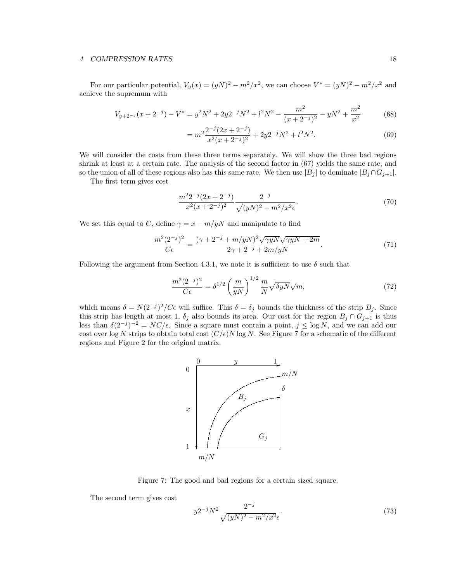#### 4 COMPRESSION RATES 18

For our particular potential,  $V_y(x) = (yN)^2 - m^2/x^2$ , we can choose  $V^* = (yN)^2 - m^2/x^2$  and achieve the supremum with

$$
V_{y+2^{-j}}(x+2^{-j}) - V^* = y^2 N^2 + 2y 2^{-j} N^2 + l^2 N^2 - \frac{m^2}{(x+2^{-j})^2} - y N^2 + \frac{m^2}{x^2}
$$
(68)

$$
= m^2 \frac{2^{-j} (2x + 2^{-j})}{x^2 (x + 2^{-j})^2} + 2y 2^{-j} N^2 + l^2 N^2.
$$
 (69)

We will consider the costs from these three terms separately. We will show the three bad regions shrink at least at a certain rate. The analysis of the second factor in (67) yields the same rate, and so the union of all of these regions also has this same rate. We then use  $|B_j|$  to dominate  $|B_j \cap G_{j+1}|$ .

The first term gives cost

$$
\frac{m^2 2^{-j} (2x + 2^{-j})}{x^2 (x + 2^{-j})^2} \frac{2^{-j}}{\sqrt{(yN)^2 - m^2/x^2} \epsilon}.
$$
\n(70)

We set this equal to C, define  $\gamma = x - m/yN$  and manipulate to find

$$
\frac{m^2(2^{-j})^2}{C\epsilon} = \frac{(\gamma + 2^{-j} + m/yN)^2 \sqrt{\gamma yN} \sqrt{\gamma yN + 2m}}{2\gamma + 2^{-j} + 2m/yN}.
$$
\n(71)

Following the argument from Section 4.3.1, we note it is sufficient to use  $\delta$  such that

$$
\frac{m^2(2^{-j})^2}{C\epsilon} = \delta^{1/2} \left(\frac{m}{yN}\right)^{1/2} \frac{m}{N} \sqrt{\delta yN} \sqrt{m},\tag{72}
$$

which means  $\delta = N(2^{-j})^2/C\epsilon$  will suffice. This  $\delta = \delta_j$  bounds the thickness of the strip  $B_j$ . Since this strip has length at most 1,  $\delta_j$  also bounds its area. Our cost for the region  $B_j \cap G_{j+1}$  is thus less than  $\delta(2^{-j})^{-2} = NC/\epsilon$ . Since a square must contain a point,  $j \leq \log N$ , and we can add our cost over log N strips to obtain total cost  $(C/\epsilon)N \log N$ . See Figure 7 for a schematic of the different regions and Figure 2 for the original matrix.



Figure 7: The good and bad regions for a certain sized square.

The second term gives cost

$$
y2^{-j}N^2 \frac{2^{-j}}{\sqrt{(yN)^2 - m^2/x^2}\epsilon}.\tag{73}
$$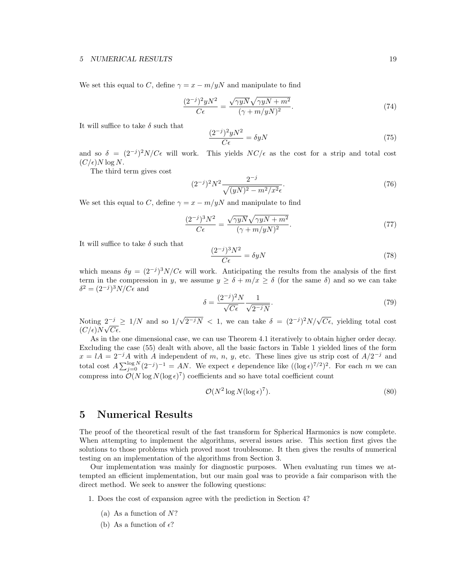We set this equal to C, define  $\gamma = x - m/yN$  and manipulate to find

$$
\frac{(2^{-j})^2 y N^2}{C\epsilon} = \frac{\sqrt{\gamma y N} \sqrt{\gamma y N + m^2}}{(\gamma + m/y N)^2}.
$$
\n(74)

It will suffice to take  $\delta$  such that

$$
\frac{(2^{-j})^2 y N^2}{C \epsilon} = \delta y N \tag{75}
$$

and so  $\delta = (2^{-j})^2 N/C\epsilon$  will work. This yields  $NC/\epsilon$  as the cost for a strip and total cost  $(C/\epsilon)N\log N$ .

The third term gives cost

$$
(2^{-j})^2 N^2 \frac{2^{-j}}{\sqrt{(yN)^2 - m^2/x^2} \epsilon}.
$$
\n(76)

We set this equal to C, define  $\gamma = x - m/yN$  and manipulate to find

$$
\frac{(2^{-j})^3 N^2}{C\epsilon} = \frac{\sqrt{\gamma y N} \sqrt{\gamma y N + m^2}}{(\gamma + m/yN)^2}.
$$
\n(77)

It will suffice to take  $\delta$  such that

$$
\frac{(2^{-j})^3 N^2}{C\epsilon} = \delta y N \tag{78}
$$

which means  $\delta y = (2^{-j})^3 N/C\epsilon$  will work. Anticipating the results from the analysis of the first term in the compression in y, we assume  $y \ge \delta + m/x \ge \delta$  (for the same  $\delta$ ) and so we can take  $\delta^2 = (2^{-j})^3 N / C \epsilon$  and

$$
\delta = \frac{(2^{-j})^2 N}{\sqrt{C\epsilon}} \frac{1}{\sqrt{2^{-j}N}}.\tag{79}
$$

Noting  $2^{-j} \geq 1/N$  and so  $1/\sqrt{2^{-j}N} < 1$ , we can take  $\delta = (2^{-j})^2 N/\sqrt{C\epsilon}$ , yielding total cost  $\frac{1}{(C/\epsilon)}N\sqrt{C\epsilon}$ .

As in the one dimensional case, we can use Theorem 4.1 iteratively to obtain higher order decay. Excluding the case (55) dealt with above, all the basic factors in Table 1 yielded lines of the form  $x = lA = 2^{-j}A$  with A independent of m, n, y, etc. These lines give us strip cost of  $A/2^{-j}$  and total cost  $A \sum_{j=0}^{\log N} (2^{-j})^{-1} = AN$ . We expect  $\epsilon$  dependence like  $((\log \epsilon)^{7/2})^2$ . For each m we can compress into  $O(N \log N (\log \epsilon)^7)$  coefficients and so have total coefficient count

$$
\mathcal{O}(N^2 \log N (\log \epsilon)^7). \tag{80}
$$

# 5 Numerical Results

The proof of the theoretical result of the fast transform for Spherical Harmonics is now complete. When attempting to implement the algorithms, several issues arise. This section first gives the solutions to those problems which proved most troublesome. It then gives the results of numerical testing on an implementation of the algorithms from Section 3.

Our implementation was mainly for diagnostic purposes. When evaluating run times we attempted an efficient implementation, but our main goal was to provide a fair comparison with the direct method. We seek to answer the following questions:

- 1. Does the cost of expansion agree with the prediction in Section 4?
	- (a) As a function of  $N$ ?
	- (b) As a function of  $\epsilon$ ?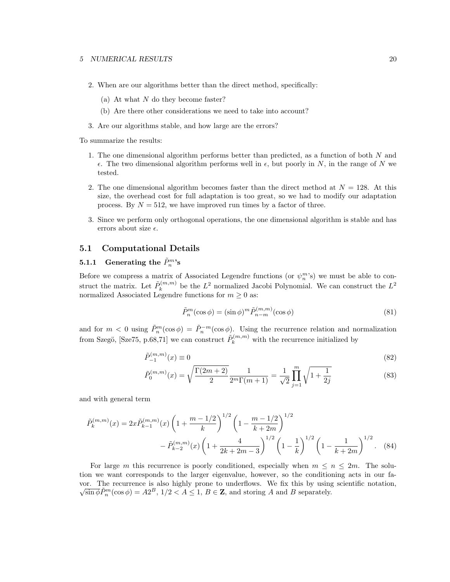- 2. When are our algorithms better than the direct method, specifically:
	- (a) At what  $N$  do they become faster?
	- (b) Are there other considerations we need to take into account?
- 3. Are our algorithms stable, and how large are the errors?

To summarize the results:

- 1. The one dimensional algorithm performs better than predicted, as a function of both  $N$  and  $\epsilon$ . The two dimensional algorithm performs well in  $\epsilon$ , but poorly in N, in the range of N we tested.
- 2. The one dimensional algorithm becomes faster than the direct method at  $N = 128$ . At this size, the overhead cost for full adaptation is too great, so we had to modify our adaptation process. By  $N = 512$ , we have improved run times by a factor of three.
- 3. Since we perform only orthogonal operations, the one dimensional algorithm is stable and has errors about size  $\epsilon$ .

## 5.1 Computational Details

# $\quad {\bf 5.1.1}\quad \textbf{Generating the }\tilde{P}_n^m$'s}$

Before we compress a matrix of Associated Legendre functions (or  $\psi_n^{m}$ 's) we must be able to construct the matrix. Let  $\tilde{P}_k^{(m,m)}$  $\lambda_k^{(m,m)}$  be the  $L^2$  normalized Jacobi Polynomial. We can construct the  $L^2$ normalized Associated Legendre functions for  $m \geq 0$  as:

$$
\tilde{P}_n^m(\cos \phi) = (\sin \phi)^m \tilde{P}_{n-m}^{(m,m)}(\cos \phi)
$$
\n(81)

and for  $m < 0$  using  $\tilde{P}_n^m(\cos \phi) = \tilde{P}_n^{-m}(\cos \phi)$ . Using the recurrence relation and normalization from Szegö, [Sze75, p.68,71] we can construct  $\tilde{P}_k^{(m,m)}$  with the recurrence initialized by

$$
\tilde{P}_{-1}^{(m,m)}(x) \equiv 0 \tag{82}
$$

$$
\tilde{P}_0^{(m,m)}(x) = \sqrt{\frac{\Gamma(2m+2)}{2}} \frac{1}{2^m \Gamma(m+1)} = \frac{1}{\sqrt{2}} \prod_{j=1}^m \sqrt{1 + \frac{1}{2j}}
$$
\n(83)

and with general term

$$
\tilde{P}_k^{(m,m)}(x) = 2x \tilde{P}_{k-1}^{(m,m)}(x) \left(1 + \frac{m-1/2}{k}\right)^{1/2} \left(1 - \frac{m-1/2}{k+2m}\right)^{1/2} - \tilde{P}_{k-2}^{(m,m)}(x) \left(1 + \frac{4}{2k+2m-3}\right)^{1/2} \left(1 - \frac{1}{k}\right)^{1/2} \left(1 - \frac{1}{k+2m}\right)^{1/2}.
$$
\n(84)

For large m this recurrence is poorly conditioned, especially when  $m \leq n \leq 2m$ . The solution we want corresponds to the larger eigenvalue, however, so the conditioning acts in our favor. The recurrence is also highly prone to underflows. We fix this by using scientific notation,  $\sqrt{\sin \phi} \tilde{P}_n^m(\cos \phi) = A2^B$ ,  $1/2 < A \le 1$ ,  $B \in \mathbb{Z}$ , and storing A and B separately.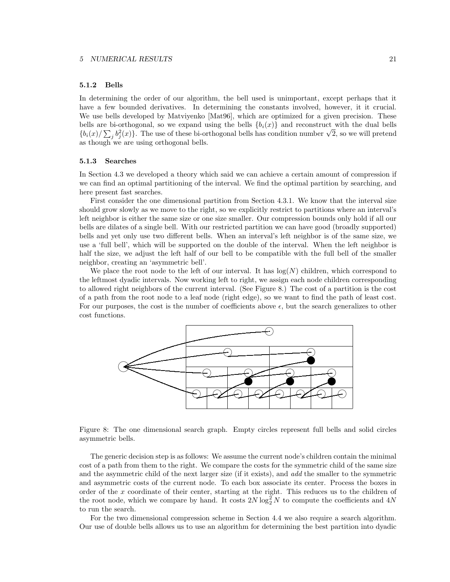#### 5.1.2 Bells

In determining the order of our algorithm, the bell used is unimportant, except perhaps that it have a few bounded derivatives. In determining the constants involved, however, it it crucial. We use bells developed by Matviyenko [Mat96], which are optimized for a given precision. These bells are bi-orthogonal, so we expand using the bells  ${b_i(x)}$  and reconstruct with the dual bells  ${b_i(x)}/{\sum_j b_j^2(x)}$ . The use of these bi-orthogonal bells has condition number  $\sqrt{2}$ , so we will pretend as though we are using orthogonal bells.

#### 5.1.3 Searches

In Section 4.3 we developed a theory which said we can achieve a certain amount of compression if we can find an optimal partitioning of the interval. We find the optimal partition by searching, and here present fast searches.

First consider the one dimensional partition from Section 4.3.1. We know that the interval size should grow slowly as we move to the right, so we explicitly restrict to partitions where an interval's left neighbor is either the same size or one size smaller. Our compression bounds only hold if all our bells are dilates of a single bell. With our restricted partition we can have good (broadly supported) bells and yet only use two different bells. When an interval's left neighbor is of the same size, we use a 'full bell', which will be supported on the double of the interval. When the left neighbor is half the size, we adjust the left half of our bell to be compatible with the full bell of the smaller neighbor, creating an 'asymmetric bell'.

We place the root node to the left of our interval. It has  $log(N)$  children, which correspond to the leftmost dyadic intervals. Now working left to right, we assign each node children corresponding to allowed right neighbors of the current interval. (See Figure 8.) The cost of a partition is the cost of a path from the root node to a leaf node (right edge), so we want to find the path of least cost. For our purposes, the cost is the number of coefficients above  $\epsilon$ , but the search generalizes to other cost functions.



Figure 8: The one dimensional search graph. Empty circles represent full bells and solid circles asymmetric bells.

The generic decision step is as follows: We assume the current node's children contain the minimal cost of a path from them to the right. We compare the costs for the symmetric child of the same size and the asymmetric child of the next larger size (if it exists), and add the smaller to the symmetric and asymmetric costs of the current node. To each box associate its center. Process the boxes in order of the  $x$  coordinate of their center, starting at the right. This reduces us to the children of the root node, which we compare by hand. It costs  $2N \log_2^2 N$  to compute the coefficients and  $4N$ to run the search.

For the two dimensional compression scheme in Section 4.4 we also require a search algorithm. Our use of double bells allows us to use an algorithm for determining the best partition into dyadic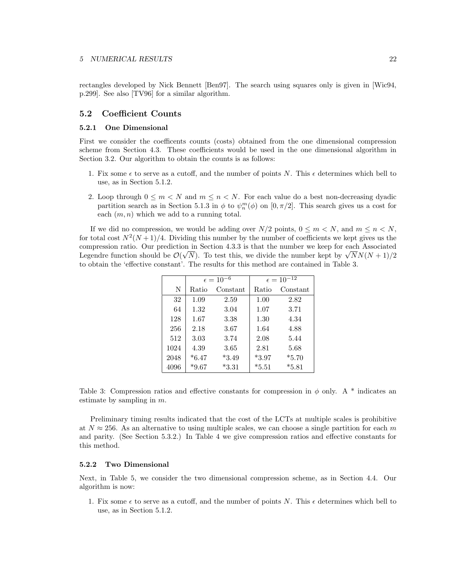rectangles developed by Nick Bennett [Ben97]. The search using squares only is given in [Wic94, p.299]. See also [TV96] for a similar algorithm.

## 5.2 Coefficient Counts

#### 5.2.1 One Dimensional

First we consider the coefficents counts (costs) obtained from the one dimensional compression scheme from Section 4.3. These coefficients would be used in the one dimensional algorithm in Section 3.2. Our algorithm to obtain the counts is as follows:

- 1. Fix some  $\epsilon$  to serve as a cutoff, and the number of points N. This  $\epsilon$  determines which bell to use, as in Section 5.1.2.
- 2. Loop through  $0 \leq m < N$  and  $m \leq n < N$ . For each value do a best non-decreasing dyadic partition search as in Section 5.1.3 in  $\phi$  to  $\psi_n^m(\phi)$  on  $[0, \pi/2]$ . This search gives us a cost for each  $(m, n)$  which we add to a running total.

If we did no compression, we would be adding over  $N/2$  points,  $0 \le m \le N$ , and  $m \le n \le N$ , for total cost  $N^2(N+1)/4$ . Dividing this number by the number of coefficients we kept gives us the compression ratio. Our prediction in Section 4.3.3 is that the number we keep for each Associated Legendre function should be  $\mathcal{O}(\sqrt{N})$ . To test this, we divide the number kept by  $\sqrt{N}N(N+1)/2$ to obtain the 'effective constant'. The results for this method are contained in Table 3.

|      |         | $\epsilon = 10^{-6}$ | $\epsilon = 10^{-12}$ |          |  |
|------|---------|----------------------|-----------------------|----------|--|
| N    | Ratio   | Constant             | Ratio                 | Constant |  |
| 32   | 1.09    | 2.59                 | 1.00                  | 2.82     |  |
| 64   | 1.32    | 3.04                 | 1.07                  | 3.71     |  |
| 128  | 1.67    | 3.38                 | 1.30                  | 4.34     |  |
| 256  | 2.18    | 3.67                 | 1.64                  | 4.88     |  |
| 512  | 3.03    | 3.74                 | 2.08                  | 5.44     |  |
| 1024 | 4.39    | 3.65                 | 2.81                  | 5.68     |  |
| 2048 | $*6.47$ | $*3.49$              | $*3.97$               | $*5.70$  |  |
| 4096 | $*9.67$ | $*3.31$              | $*5.51$               | $*5.81$  |  |

Table 3: Compression ratios and effective constants for compression in  $\phi$  only. A  $*$  indicates an estimate by sampling in m.

Preliminary timing results indicated that the cost of the LCTs at multiple scales is prohibitive at  $N \approx 256$ . As an alternative to using multiple scales, we can choose a single partition for each m and parity. (See Section 5.3.2.) In Table 4 we give compression ratios and effective constants for this method.

#### 5.2.2 Two Dimensional

Next, in Table 5, we consider the two dimensional compression scheme, as in Section 4.4. Our algorithm is now:

1. Fix some  $\epsilon$  to serve as a cutoff, and the number of points N. This  $\epsilon$  determines which bell to use, as in Section 5.1.2.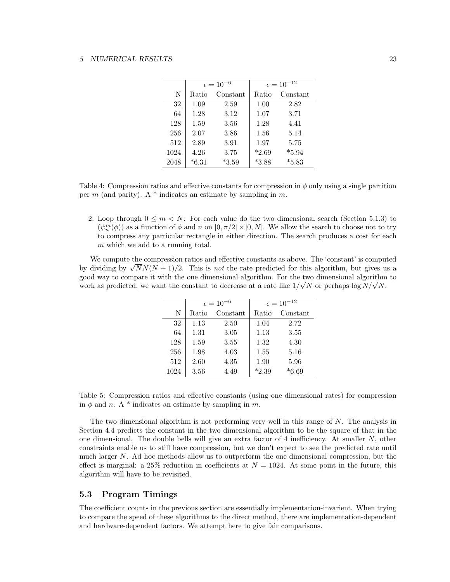|      |         | $\epsilon = 10^{-6}$ | $\epsilon = 10^{-12}$ |          |  |
|------|---------|----------------------|-----------------------|----------|--|
| N    | Ratio   | Constant             | Ratio                 | Constant |  |
| 32   | 1.09    | 2.59                 | 1.00                  | 2.82     |  |
| 64   | 1.28    | 3.12                 | 1.07                  | 3.71     |  |
| 128  | 1.59    | 3.56                 | 1.28                  | 4.41     |  |
| 256  | 2.07    | 3.86                 | 1.56                  | 5.14     |  |
| 512  | 2.89    | 3.91                 | 1.97                  | 5.75     |  |
| 1024 | 4.26    | 3.75                 | $*2.69$               | $*5.94$  |  |
| 2048 | $*6.31$ | $*3.59$              | $*3.88$               | $*5.83$  |  |

Table 4: Compression ratios and effective constants for compression in  $\phi$  only using a single partition per m (and parity). A  $*$  indicates an estimate by sampling in m.

2. Loop through  $0 \leq m \leq N$ . For each value do the two dimensional search (Section 5.1.3) to  $(\psi_n^m(\phi))$  as a function of  $\phi$  and n on  $[0, \pi/2] \times [0, N]$ . We allow the search to choose not to try to compress any particular rectangle in either direction. The search produces a cost for each m which we add to a running total.

We compute the compression ratios and effective constants as above. The 'constant' is computed by dividing by  $\sqrt{N}N(N+1)/2$ . This is not the rate predicted for this algorithm, but gives us a good way to compare it with the one dimensional algorithm. For the two dimensional algorithm to work as predicted, we want the constant to decrease at a rate like  $1/\sqrt{N}$  or perhaps log  $N/\sqrt{N}$ .

|      |       | $\epsilon = 10^{-6}$ | $\epsilon = 10^{-12}$ |          |  |
|------|-------|----------------------|-----------------------|----------|--|
| N    | Ratio | Constant             | Ratio                 | Constant |  |
| 32   | 1.13  | 2.50                 | 1.04                  | 2.72     |  |
| 64   | 1.31  | 3.05                 | 1.13                  | 3.55     |  |
| 128  | 1.59  | 3.55                 | 1.32                  | 4.30     |  |
| 256  | 1.98  | 4.03                 | 1.55                  | 5.16     |  |
| 512  | 2.60  | 4.35                 | 1.90                  | 5.96     |  |
| 1024 | 3.56  | 4.49                 | $*2.39$               | $*6.69$  |  |

Table 5: Compression ratios and effective constants (using one dimensional rates) for compression in  $\phi$  and n. A \* indicates an estimate by sampling in m.

The two dimensional algorithm is not performing very well in this range of  $N$ . The analysis in Section 4.4 predicts the constant in the two dimensional algorithm to be the square of that in the one dimensional. The double bells will give an extra factor of 4 inefficiency. At smaller  $N$ , other constraints enable us to still have compression, but we don't expect to see the predicted rate until much larger N. Ad hoc methods allow us to outperform the one dimensional compression, but the effect is marginal: a  $25\%$  reduction in coefficients at  $N = 1024$ . At some point in the future, this algorithm will have to be revisited.

#### 5.3 Program Timings

The coefficient counts in the previous section are essentially implementation-invarient. When trying to compare the speed of these algorithms to the direct method, there are implementation-dependent and hardware-dependent factors. We attempt here to give fair comparisons.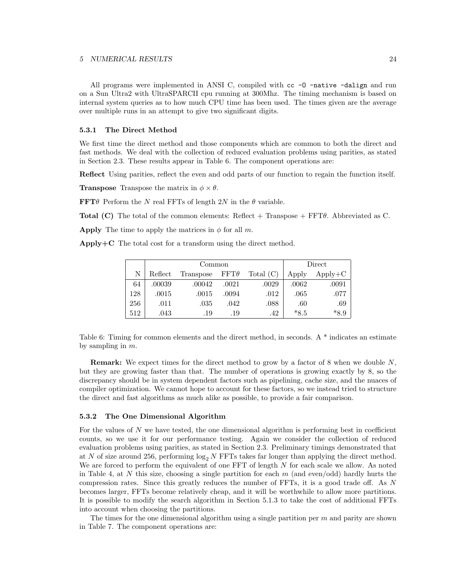All programs were implemented in ANSI C, compiled with  $cc$  - $0$  -native -dalign and run on a Sun Ultra2 with UltraSPARCII cpu running at 300Mhz. The timing mechanism is based on internal system queries as to how much CPU time has been used. The times given are the average over multiple runs in an attempt to give two significant digits.

#### 5.3.1 The Direct Method

We first time the direct method and those components which are common to both the direct and fast methods. We deal with the collection of reduced evaluation problems using parities, as stated in Section 2.3. These results appear in Table 6. The component operations are:

Reflect Using parities, reflect the even and odd parts of our function to regain the function itself.

**Transpose** Transpose the matrix in  $\phi \times \theta$ .

**FFT** $\theta$  Perform the N real FFTs of length 2N in the  $\theta$  variable.

Total (C) The total of the common elements: Reflect + Transpose +  $FFT\theta$ . Abbreviated as C.

**Apply** The time to apply the matrices in  $\phi$  for all m.

Apply $+C$  The total cost for a transform using the direct method.

|     |         | Common    |             | Direct      |        |           |
|-----|---------|-----------|-------------|-------------|--------|-----------|
| N   | Reflect | Transpose | $FFT\theta$ | Total $(C)$ | Apply  | $Apply+C$ |
| 64  | .00039  | .00042    | .0021       | .0029       | .0062  | .0091     |
| 128 | .0015   | .0015     | .0094       | .012        | .065   | .077      |
| 256 | .011    | .035      | .042        | .088        | .60    | .69       |
| 512 | .043    | .19       | .19         | .42         | $*8.5$ | $*8.9$    |

Table 6: Timing for common elements and the direct method, in seconds. A \* indicates an estimate by sampling in  $m$ .

Remark: We expect times for the direct method to grow by a factor of 8 when we double N, but they are growing faster than that. The number of operations is growing exactly by 8, so the discrepancy should be in system dependent factors such as pipelining, cache size, and the nuaces of compiler optimization. We cannot hope to account for these factors, so we instead tried to structure the direct and fast algorithms as much alike as possible, to provide a fair comparison.

#### 5.3.2 The One Dimensional Algorithm

For the values of N we have tested, the one dimensional algorithm is performing best in coefficient counts, so we use it for our performance testing. Again we consider the collection of reduced evaluation problems using parities, as stated in Section 2.3. Preliminary timings demonstrated that at N of size around 256, performing  $\log_2 N$  FFTs takes far longer than applying the direct method. We are forced to perform the equivalent of one FFT of length N for each scale we allow. As noted in Table 4, at N this size, choosing a single partition for each  $m$  (and even/odd) hardly hurts the compression rates. Since this greatly reduces the number of FFTs, it is a good trade off. As N becomes larger, FFTs become relatively cheap, and it will be worthwhile to allow more partitions. It is possible to modify the search algorithm in Section 5.1.3 to take the cost of additional FFTs into account when choosing the partitions.

The times for the one dimensional algorithm using a single partition per  $m$  and parity are shown in Table 7. The component operations are: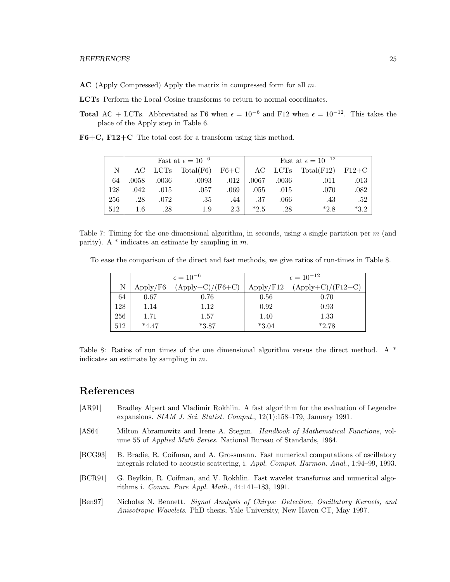$AC$  (Apply Compressed) Apply the matrix in compressed form for all  $m$ .

LCTs Perform the Local Cosine transforms to return to normal coordinates.

Total AC + LCTs. Abbreviated as F6 when  $\epsilon = 10^{-6}$  and F12 when  $\epsilon = 10^{-12}$ . This takes the place of the Apply step in Table 6.

F6+C, F12+C The total cost for a transform using this method.

|     | Fast at $\epsilon = 10^{-6}$ |       |           | Fast at $\epsilon = 10^{-12}$ |        |         |            |         |
|-----|------------------------------|-------|-----------|-------------------------------|--------|---------|------------|---------|
| N   | AC.                          | LCTs  | Total(F6) | $F6+C$                        |        | AC LCTs | Total(F12) | $F12+C$ |
| 64  | .0058                        | .0036 | .0093     | .012                          | .0067  | .0036   | .011       | .013    |
| 128 | .042                         | .015  | .057      | .069                          | .055   | .015    | .070       | .082    |
| 256 | .28                          | .072  | .35       | .44                           | .37    | .066    | .43        | .52     |
| 512 | $1.6\,$                      | .28   | 1.9       | 2.3                           | $*2.5$ | .28     | $*28$      | $*3.2$  |

Table 7: Timing for the one dimensional algorithm, in seconds, using a single partition per  $m$  (and parity). A  $*$  indicates an estimate by sampling in m.

To ease the comparison of the direct and fast methods, we give ratios of run-times in Table 8.

|     |          | $\epsilon = 10^{-6}$ | $\epsilon = 10^{-12}$ |                     |  |
|-----|----------|----------------------|-----------------------|---------------------|--|
| N   | Apply/F6 | $(Apply+C)/(F6+C)$   | Apply/F12             | $(Apply+C)/(F12+C)$ |  |
| 64  | 0.67     | 0.76                 | 0.56                  | 0.70                |  |
| 128 | 1.14     | 1.12                 | 0.92                  | 0.93                |  |
| 256 | 1.71     | 1.57                 | 1.40                  | 1.33                |  |
| 512 | $*4.47$  | $*3.87$              | $*3.04$               | $*2.78$             |  |

Table 8: Ratios of run times of the one dimensional algorithm versus the direct method. A \* indicates an estimate by sampling in m.

# References

- [AR91] Bradley Alpert and Vladimir Rokhlin. A fast algorithm for the evaluation of Legendre expansions. SIAM J. Sci. Statist. Comput.,  $12(1):158-179$ , January 1991.
- [AS64] Milton Abramowitz and Irene A. Stegun. Handbook of Mathematical Functions, volume 55 of Applied Math Series. National Bureau of Standards, 1964.
- [BCG93] B. Bradie, R. Coifman, and A. Grossmann. Fast numerical computations of oscillatory integrals related to acoustic scattering, i. Appl. Comput. Harmon. Anal., 1:94–99, 1993.
- [BCR91] G. Beylkin, R. Coifman, and V. Rokhlin. Fast wavelet transforms and numerical algorithms i. Comm. Pure Appl. Math., 44:141–183, 1991.
- [Ben97] Nicholas N. Bennett. Signal Analysis of Chirps: Detection, Oscillatory Kernels, and Anisotropic Wavelets. PhD thesis, Yale University, New Haven CT, May 1997.